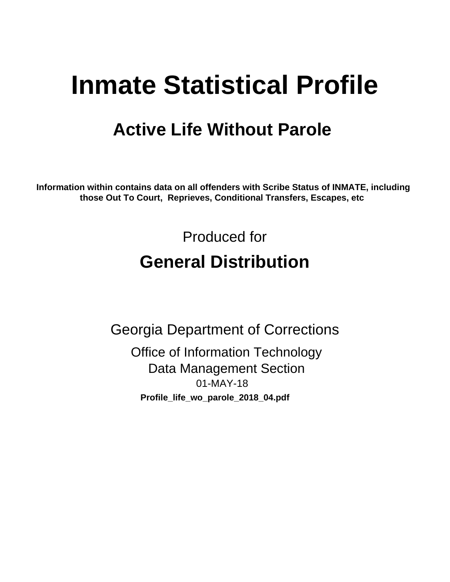# **Inmate Statistical Profile**

## **Active Life Without Parole**

Information within contains data on all offenders with Scribe Status of INMATE, including those Out To Court, Reprieves, Conditional Transfers, Escapes, etc

> Produced for **General Distribution**

**Georgia Department of Corrections Office of Information Technology Data Management Section** 01-MAY-18 Profile\_life\_wo\_parole\_2018\_04.pdf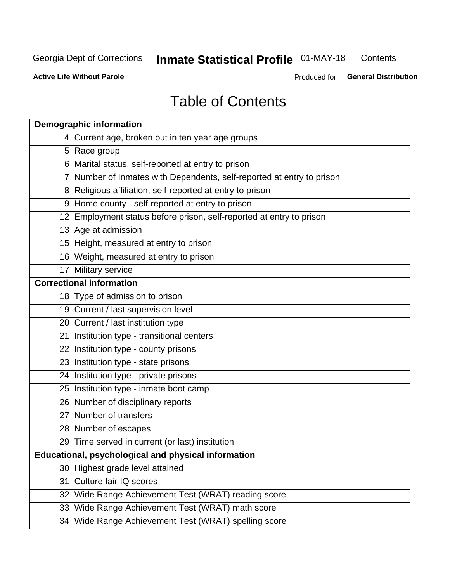#### **Inmate Statistical Profile 01-MAY-18** Contents

**Active Life Without Parole** 

Produced for General Distribution

## **Table of Contents**

|    | <b>Demographic information</b>                                        |
|----|-----------------------------------------------------------------------|
|    | 4 Current age, broken out in ten year age groups                      |
|    | 5 Race group                                                          |
|    | 6 Marital status, self-reported at entry to prison                    |
|    | 7 Number of Inmates with Dependents, self-reported at entry to prison |
|    | 8 Religious affiliation, self-reported at entry to prison             |
|    | 9 Home county - self-reported at entry to prison                      |
|    | 12 Employment status before prison, self-reported at entry to prison  |
|    | 13 Age at admission                                                   |
|    | 15 Height, measured at entry to prison                                |
|    | 16 Weight, measured at entry to prison                                |
|    | 17 Military service                                                   |
|    | <b>Correctional information</b>                                       |
|    | 18 Type of admission to prison                                        |
|    | 19 Current / last supervision level                                   |
|    | 20 Current / last institution type                                    |
|    | 21 Institution type - transitional centers                            |
|    | 22 Institution type - county prisons                                  |
|    | 23 Institution type - state prisons                                   |
|    | 24 Institution type - private prisons                                 |
|    | 25 Institution type - inmate boot camp                                |
|    | 26 Number of disciplinary reports                                     |
|    | 27 Number of transfers                                                |
|    | 28 Number of escapes                                                  |
|    | 29 Time served in current (or last) institution                       |
|    | Educational, psychological and physical information                   |
|    | 30 Highest grade level attained                                       |
| 31 | Culture fair IQ scores                                                |
|    | 32 Wide Range Achievement Test (WRAT) reading score                   |
|    | 33 Wide Range Achievement Test (WRAT) math score                      |
|    | 34 Wide Range Achievement Test (WRAT) spelling score                  |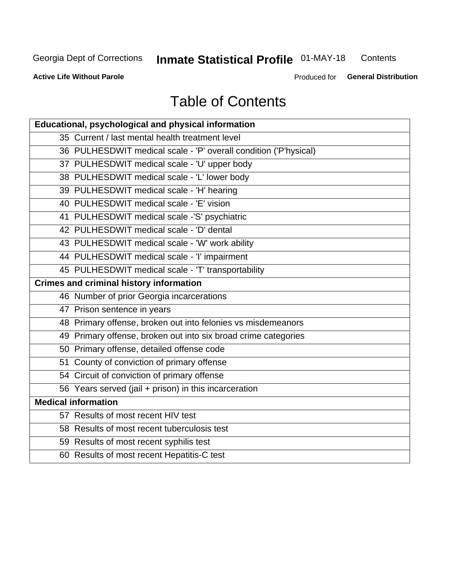## **Inmate Statistical Profile 01-MAY-18**

Contents

**Active Life Without Parole** 

Produced for General Distribution

## **Table of Contents**

| <b>Educational, psychological and physical information</b>       |
|------------------------------------------------------------------|
| 35 Current / last mental health treatment level                  |
| 36 PULHESDWIT medical scale - 'P' overall condition ('P'hysical) |
| 37 PULHESDWIT medical scale - 'U' upper body                     |
| 38 PULHESDWIT medical scale - 'L' lower body                     |
| 39 PULHESDWIT medical scale - 'H' hearing                        |
| 40 PULHESDWIT medical scale - 'E' vision                         |
| 41 PULHESDWIT medical scale -'S' psychiatric                     |
| 42 PULHESDWIT medical scale - 'D' dental                         |
| 43 PULHESDWIT medical scale - 'W' work ability                   |
| 44 PULHESDWIT medical scale - 'I' impairment                     |
| 45 PULHESDWIT medical scale - 'T' transportability               |
| <b>Crimes and criminal history information</b>                   |
| 46 Number of prior Georgia incarcerations                        |
| 47 Prison sentence in years                                      |
| 48 Primary offense, broken out into felonies vs misdemeanors     |
| 49 Primary offense, broken out into six broad crime categories   |
| 50 Primary offense, detailed offense code                        |
| 51 County of conviction of primary offense                       |
| 54 Circuit of conviction of primary offense                      |
| 56 Years served (jail + prison) in this incarceration            |
| <b>Medical information</b>                                       |
| 57 Results of most recent HIV test                               |
| 58 Results of most recent tuberculosis test                      |
| 59 Results of most recent syphilis test                          |
| 60 Results of most recent Hepatitis-C test                       |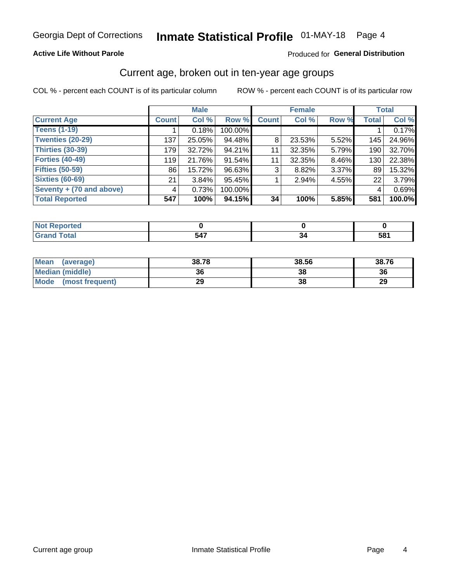## **Active Life Without Parole**

### Produced for General Distribution

## Current age, broken out in ten-year age groups

COL % - percent each COUNT is of its particular column

|                          |              | <b>Male</b> |         | <b>Female</b> |        |          | <b>Total</b> |        |
|--------------------------|--------------|-------------|---------|---------------|--------|----------|--------------|--------|
| <b>Current Age</b>       | <b>Count</b> | Col %       | Row %   | <b>Count</b>  | Col %  | Row %    | <b>Total</b> | Col %  |
| <b>Teens (1-19)</b>      |              | 0.18%       | 100.00% |               |        |          |              | 0.17%  |
| <b>Twenties (20-29)</b>  | 137          | 25.05%      | 94.48%  | 8             | 23.53% | $5.52\%$ | 145          | 24.96% |
| Thirties (30-39)         | 179          | 32.72%      | 94.21%  | 11            | 32.35% | 5.79%    | 190          | 32.70% |
| <b>Forties (40-49)</b>   | 119          | 21.76%      | 91.54%  | 11            | 32.35% | $8.46\%$ | 130          | 22.38% |
| <b>Fifties (50-59)</b>   | 86           | 15.72%      | 96.63%  | 3             | 8.82%  | 3.37%    | 89           | 15.32% |
| <b>Sixties (60-69)</b>   | 21           | $3.84\%$    | 95.45%  |               | 2.94%  | 4.55%    | 22           | 3.79%  |
| Seventy + (70 and above) | 4            | 0.73%       | 100.00% |               |        |          | 4            | 0.69%  |
| <b>Total Reported</b>    | 547          | 100%        | 94.15%  | 34            | 100%   | 5.85%    | 581          | 100.0% |

| .<br>rtea<br>$\sim$ |  |           |
|---------------------|--|-----------|
| デー・エー               |  | --<br>JV, |

| <b>Mean</b><br>(average) | 38.78 | 38.56 | 38.76 |
|--------------------------|-------|-------|-------|
| Median (middle)          | 36    | 38    | 36    |
| Mode<br>(most frequent)  | 29    | 38    | 29    |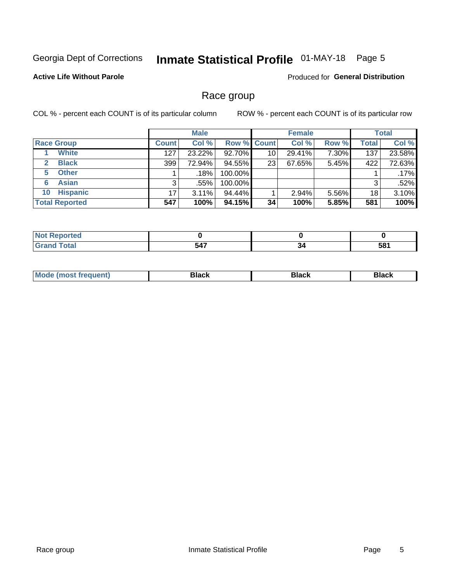## Inmate Statistical Profile 01-MAY-18 Page 5

## **Active Life Without Parole**

Produced for General Distribution

## Race group

COL % - percent each COUNT is of its particular column

|                       | <b>Male</b>  |        |                    | <b>Female</b> |        |       | <b>Total</b> |        |
|-----------------------|--------------|--------|--------------------|---------------|--------|-------|--------------|--------|
| <b>Race Group</b>     | <b>Count</b> | Col %  | <b>Row % Count</b> |               | Col %  | Row % | Total        | Col %  |
| <b>White</b>          | 127          | 23.22% | 92.70%             | 10            | 29.41% | 7.30% | 137          | 23.58% |
| <b>Black</b><br>2     | 399          | 72.94% | 94.55%             | 23            | 67.65% | 5.45% | 422          | 72.63% |
| <b>Other</b><br>5.    |              | .18%   | 100.00%            |               |        |       |              | .17%   |
| <b>Asian</b><br>6     | 3            | .55%   | 100.00%            |               |        |       | 3            | .52%   |
| <b>Hispanic</b><br>10 | 17           | 3.11%  | 94.44%             |               | 2.94%  | 5.56% | 18           | 3.10%  |
| <b>Total Reported</b> | 547          | 100%   | $94.15\%$          | 34            | 100%   | 5.85% | 581          | 100%   |

| المفمئ | 547 | the contract of the contract of the | 581 |
|--------|-----|-------------------------------------|-----|

| –•••• |  | M |  |  |  |
|-------|--|---|--|--|--|
|-------|--|---|--|--|--|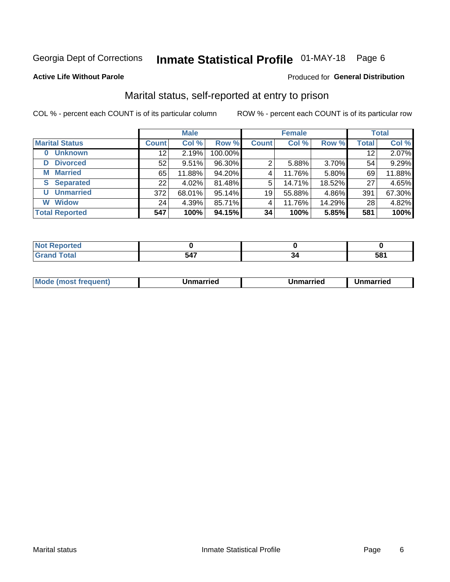## Inmate Statistical Profile 01-MAY-18 Page 6

### **Active Life Without Parole**

### Produced for General Distribution

## Marital status, self-reported at entry to prison

COL % - percent each COUNT is of its particular column

|                        | <b>Male</b>     |        |         |              | <b>Female</b> | <b>Total</b> |                 |        |
|------------------------|-----------------|--------|---------|--------------|---------------|--------------|-----------------|--------|
| <b>Marital Status</b>  | <b>Count</b>    | Col %  | Row %   | <b>Count</b> | Col %         | Row %        | <b>Total</b>    | Col %  |
| <b>Unknown</b><br>0    | 12              | 2.19%  | 100.00% |              |               |              | 12 <sub>1</sub> | 2.07%  |
| <b>Divorced</b><br>D   | 52              | 9.51%  | 96.30%  | 2            | 5.88%         | 3.70%        | 54              | 9.29%  |
| <b>Married</b><br>М    | 65              | 11.88% | 94.20%  | 4            | 11.76%        | 5.80%        | 69              | 11.88% |
| <b>Separated</b><br>S. | 22              | 4.02%  | 81.48%  | 5            | 14.71%        | 18.52%       | 27              | 4.65%  |
| <b>Unmarried</b><br>U  | 372             | 68.01% | 95.14%  | 19           | 55.88%        | 4.86%        | 391             | 67.30% |
| <b>Widow</b><br>W      | 24 <sub>1</sub> | 4.39%  | 85.71%  | 4            | 11.76%        | 14.29%       | 28              | 4.82%  |
| <b>Total Reported</b>  | 547             | 100%   | 94.15%  | 34           | 100%          | 5.85%        | 581             | 100%   |

| rtea<br>NO<br>. <b>.</b> |     |   |          |
|--------------------------|-----|---|----------|
| $\sim$ fol<br>σιαι       | 547 | . | -0<br>JL |

|--|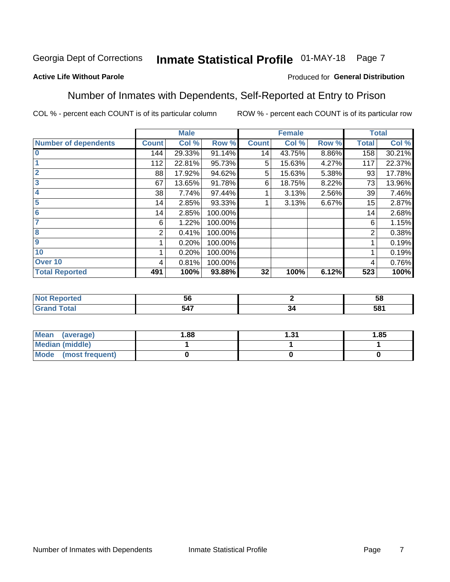## Inmate Statistical Profile 01-MAY-18 Page 7

## **Active Life Without Parole**

### Produced for General Distribution

## Number of Inmates with Dependents, Self-Reported at Entry to Prison

COL % - percent each COUNT is of its particular column

|                             |              | <b>Male</b> |         |                 | <b>Female</b> |       |              | <b>Total</b> |
|-----------------------------|--------------|-------------|---------|-----------------|---------------|-------|--------------|--------------|
| <b>Number of dependents</b> | <b>Count</b> | Col %       | Row %   | <b>Count</b>    | Col %         | Row % | <b>Total</b> | Col %        |
| l 0                         | 144          | 29.33%      | 91.14%  | 14 <sub>1</sub> | 43.75%        | 8.86% | 158          | 30.21%       |
|                             | 112          | 22.81%      | 95.73%  | 5               | 15.63%        | 4.27% | 117          | 22.37%       |
| $\overline{2}$              | 88           | 17.92%      | 94.62%  | 5               | 15.63%        | 5.38% | 93           | 17.78%       |
| $\overline{\mathbf{3}}$     | 67           | 13.65%      | 91.78%  | 6               | 18.75%        | 8.22% | 73           | 13.96%       |
| 4                           | 38           | 7.74%       | 97.44%  |                 | 3.13%         | 2.56% | 39           | 7.46%        |
| 5                           | 14           | 2.85%       | 93.33%  |                 | 3.13%         | 6.67% | 15           | 2.87%        |
| 6                           | 14           | 2.85%       | 100.00% |                 |               |       | 14           | 2.68%        |
| 7                           | 6            | 1.22%       | 100.00% |                 |               |       | 6            | 1.15%        |
| $\overline{\mathbf{8}}$     | 2            | 0.41%       | 100.00% |                 |               |       | 2            | 0.38%        |
| 9                           |              | 0.20%       | 100.00% |                 |               |       |              | 0.19%        |
| 10                          |              | 0.20%       | 100.00% |                 |               |       |              | 0.19%        |
| Over 10                     | 4            | 0.81%       | 100.00% |                 |               |       | 4            | 0.76%        |
| <b>Total Reported</b>       | 491          | 100%        | 93.88%  | 32              | 100%          | 6.12% | 523          | 100%         |

|       | ວເ          |      |          |
|-------|-------------|------|----------|
| ,,,,, | .47<br>VT I | - 10 | 581<br>ּ |

| Mean (average)         | 1.88 | 1.31 | 1.85 |
|------------------------|------|------|------|
| <b>Median (middle)</b> |      |      |      |
| Mode (most frequent)   |      |      |      |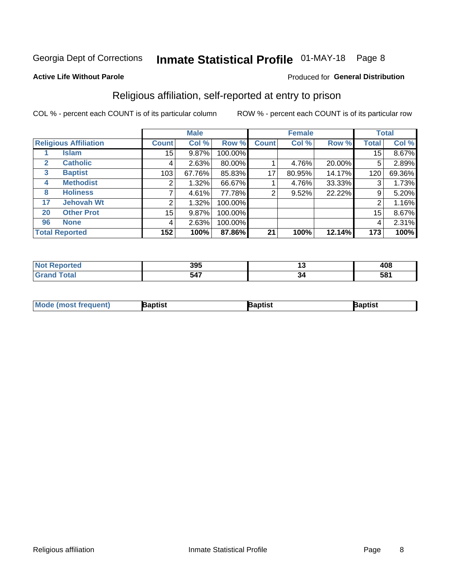## Inmate Statistical Profile 01-MAY-18 Page 8

### **Active Life Without Parole**

### Produced for General Distribution

## Religious affiliation, self-reported at entry to prison

COL % - percent each COUNT is of its particular column

|              |                              |              | <b>Male</b> |         |              | <b>Female</b> |        |        | <b>Total</b> |
|--------------|------------------------------|--------------|-------------|---------|--------------|---------------|--------|--------|--------------|
|              | <b>Religious Affiliation</b> | <b>Count</b> | Col %       | Row %   | <b>Count</b> | Col %         | Row %  | Total  | Col %        |
|              | Islam                        | $15\,$       | 9.87%       | 100.00% |              |               |        | 15     | 8.67%        |
| 2            | <b>Catholic</b>              | 4            | 2.63%       | 80.00%  |              | 4.76%         | 20.00% | 5      | 2.89%        |
| $\mathbf{3}$ | <b>Baptist</b>               | 103          | 67.76%      | 85.83%  | 17           | 80.95%        | 14.17% | 120    | 69.36%       |
| 4            | <b>Methodist</b>             | 2            | 1.32%       | 66.67%  |              | 4.76%         | 33.33% | ົ<br>3 | 1.73%        |
| 8            | <b>Holiness</b>              |              | 4.61%       | 77.78%  | 2            | 9.52%         | 22.22% | 9      | 5.20%        |
| 17           | <b>Jehovah Wt</b>            | 2            | 1.32%       | 100.00% |              |               |        | 2      | 1.16%        |
| 20           | <b>Other Prot</b>            | $15\,$       | 9.87%       | 100.00% |              |               |        | 15     | 8.67%        |
| 96           | <b>None</b>                  | 4            | 2.63%       | 100.00% |              |               |        | 4      | 2.31%        |
|              | <b>Total Reported</b>        | 152          | 100%        | 87.86%  | 21           | 100%          | 12.14% | 173    | 100%         |

|     | 205          | ., | 10۵ |
|-----|--------------|----|-----|
| тео | ວວວ          |    | 40o |
|     | - - -<br>D4. | ⊶ت | 581 |

| <b>Mo</b><br>าptist<br><b>'a</b> ptist<br>3aptis'<br>frequent)<br>re imost i. |  |  |
|-------------------------------------------------------------------------------|--|--|
|                                                                               |  |  |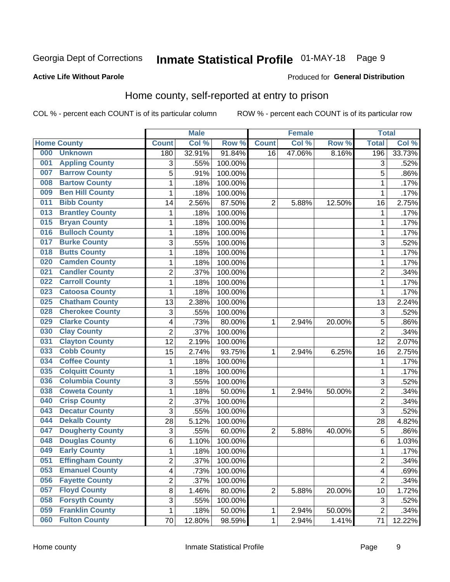## Inmate Statistical Profile 01-MAY-18 Page 9

### **Active Life Without Parole**

### Produced for General Distribution

## Home county, self-reported at entry to prison

COL % - percent each COUNT is of its particular column

|     |                         |                         | <b>Male</b> |                  |                | <b>Female</b> |        | <b>Total</b>   |        |
|-----|-------------------------|-------------------------|-------------|------------------|----------------|---------------|--------|----------------|--------|
|     | <b>Home County</b>      | <b>Count</b>            | Col %       | Row <sup>%</sup> | <b>Count</b>   | Col %         | Row %  | <b>Total</b>   | Col %  |
| 000 | <b>Unknown</b>          | 180                     | 32.91%      | 91.84%           | 16             | 47.06%        | 8.16%  | 196            | 33.73% |
| 001 | <b>Appling County</b>   | 3                       | .55%        | 100.00%          |                |               |        | 3              | .52%   |
| 007 | <b>Barrow County</b>    | 5                       | .91%        | 100.00%          |                |               |        | 5              | .86%   |
| 008 | <b>Bartow County</b>    | 1                       | .18%        | 100.00%          |                |               |        | 1              | .17%   |
| 009 | <b>Ben Hill County</b>  | $\mathbf 1$             | .18%        | 100.00%          |                |               |        | 1              | .17%   |
| 011 | <b>Bibb County</b>      | 14                      | 2.56%       | 87.50%           | $\overline{2}$ | 5.88%         | 12.50% | 16             | 2.75%  |
| 013 | <b>Brantley County</b>  | 1                       | .18%        | 100.00%          |                |               |        | 1              | .17%   |
| 015 | <b>Bryan County</b>     | 1                       | .18%        | 100.00%          |                |               |        | 1              | .17%   |
| 016 | <b>Bulloch County</b>   | $\mathbf 1$             | .18%        | 100.00%          |                |               |        | 1              | .17%   |
| 017 | <b>Burke County</b>     | 3                       | .55%        | 100.00%          |                |               |        | 3              | .52%   |
| 018 | <b>Butts County</b>     | $\mathbf 1$             | .18%        | 100.00%          |                |               |        | 1              | .17%   |
| 020 | <b>Camden County</b>    | 1                       | .18%        | 100.00%          |                |               |        | 1              | .17%   |
| 021 | <b>Candler County</b>   | $\overline{2}$          | .37%        | 100.00%          |                |               |        | $\overline{2}$ | .34%   |
| 022 | <b>Carroll County</b>   | $\mathbf 1$             | .18%        | 100.00%          |                |               |        | 1              | .17%   |
| 023 | <b>Catoosa County</b>   | $\mathbf 1$             | .18%        | 100.00%          |                |               |        | 1              | .17%   |
| 025 | <b>Chatham County</b>   | 13                      | 2.38%       | 100.00%          |                |               |        | 13             | 2.24%  |
| 028 | <b>Cherokee County</b>  | 3                       | .55%        | 100.00%          |                |               |        | 3              | .52%   |
| 029 | <b>Clarke County</b>    | 4                       | .73%        | 80.00%           | 1              | 2.94%         | 20.00% | 5              | .86%   |
| 030 | <b>Clay County</b>      | $\overline{2}$          | .37%        | 100.00%          |                |               |        | $\overline{2}$ | .34%   |
| 031 | <b>Clayton County</b>   | 12                      | 2.19%       | 100.00%          |                |               |        | 12             | 2.07%  |
| 033 | <b>Cobb County</b>      | 15                      | 2.74%       | 93.75%           | 1              | 2.94%         | 6.25%  | 16             | 2.75%  |
| 034 | <b>Coffee County</b>    | $\mathbf 1$             | .18%        | 100.00%          |                |               |        | 1              | .17%   |
| 035 | <b>Colquitt County</b>  | $\mathbf 1$             | .18%        | 100.00%          |                |               |        | 1              | .17%   |
| 036 | <b>Columbia County</b>  | 3                       | .55%        | 100.00%          |                |               |        | 3              | .52%   |
| 038 | <b>Coweta County</b>    | $\mathbf 1$             | .18%        | 50.00%           | 1              | 2.94%         | 50.00% | 2              | .34%   |
| 040 | <b>Crisp County</b>     | $\overline{2}$          | .37%        | 100.00%          |                |               |        | $\overline{2}$ | .34%   |
| 043 | <b>Decatur County</b>   | $\overline{3}$          | .55%        | 100.00%          |                |               |        | 3              | .52%   |
| 044 | <b>Dekalb County</b>    | 28                      | 5.12%       | 100.00%          |                |               |        | 28             | 4.82%  |
| 047 | <b>Dougherty County</b> | 3                       | .55%        | 60.00%           | $\overline{2}$ | 5.88%         | 40.00% | 5              | .86%   |
| 048 | <b>Douglas County</b>   | 6                       | 1.10%       | 100.00%          |                |               |        | 6              | 1.03%  |
| 049 | <b>Early County</b>     | 1                       | .18%        | 100.00%          |                |               |        | 1              | .17%   |
| 051 | <b>Effingham County</b> | 2                       | .37%        | 100.00%          |                |               |        | $\overline{2}$ | .34%   |
| 053 | <b>Emanuel County</b>   | $\overline{\mathbf{4}}$ | .73%        | 100.00%          |                |               |        | 4              | .69%   |
| 056 | <b>Fayette County</b>   | $\overline{c}$          | .37%        | 100.00%          |                |               |        | $\overline{2}$ | .34%   |
| 057 | <b>Floyd County</b>     | 8                       | 1.46%       | 80.00%           | 2              | 5.88%         | 20.00% | 10             | 1.72%  |
| 058 | <b>Forsyth County</b>   | 3                       | .55%        | 100.00%          |                |               |        | 3              | .52%   |
| 059 | <b>Franklin County</b>  | 1                       | .18%        | 50.00%           | 1              | 2.94%         | 50.00% | $\overline{2}$ | .34%   |
| 060 | <b>Fulton County</b>    | 70                      | 12.80%      | 98.59%           | 1              | 2.94%         | 1.41%  | 71             | 12.22% |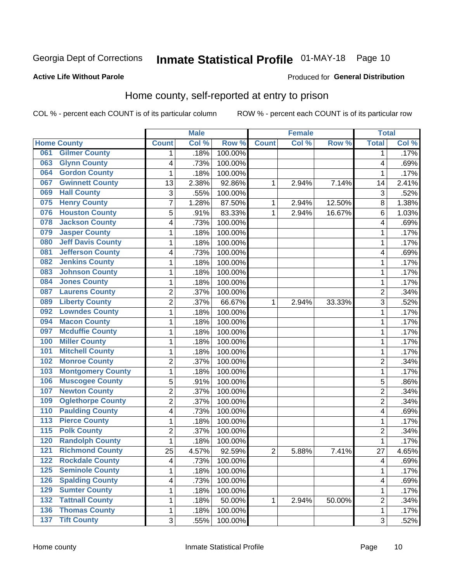## Inmate Statistical Profile 01-MAY-18 Page 10

### **Active Life Without Parole**

## **Produced for General Distribution**

## Home county, self-reported at entry to prison

COL % - percent each COUNT is of its particular column

|                  |                          |                          | <b>Male</b> |                  |                | <b>Female</b> |        | <b>Total</b>   |       |
|------------------|--------------------------|--------------------------|-------------|------------------|----------------|---------------|--------|----------------|-------|
|                  | <b>Home County</b>       | <b>Count</b>             | Col %       | Row <sup>%</sup> | <b>Count</b>   | Col %         | Row %  | <b>Total</b>   | Col % |
| 061              | <b>Gilmer County</b>     | 1                        | .18%        | 100.00%          |                |               |        | 1              | .17%  |
| 063              | <b>Glynn County</b>      | $\overline{\mathcal{A}}$ | .73%        | 100.00%          |                |               |        | 4              | .69%  |
| 064              | <b>Gordon County</b>     | 1                        | .18%        | 100.00%          |                |               |        | 1              | .17%  |
| 067              | <b>Gwinnett County</b>   | 13                       | 2.38%       | 92.86%           | 1              | 2.94%         | 7.14%  | 14             | 2.41% |
| 069              | <b>Hall County</b>       | 3                        | .55%        | 100.00%          |                |               |        | 3              | .52%  |
| 075              | <b>Henry County</b>      | $\overline{7}$           | 1.28%       | 87.50%           | 1              | 2.94%         | 12.50% | 8              | 1.38% |
| 076              | <b>Houston County</b>    | 5                        | .91%        | 83.33%           | 1              | 2.94%         | 16.67% | 6              | 1.03% |
| 078              | <b>Jackson County</b>    | $\overline{\mathcal{A}}$ | .73%        | 100.00%          |                |               |        | 4              | .69%  |
| 079              | <b>Jasper County</b>     | 1                        | .18%        | 100.00%          |                |               |        | 1              | .17%  |
| 080              | <b>Jeff Davis County</b> | 1                        | .18%        | 100.00%          |                |               |        | 1              | .17%  |
| 081              | <b>Jefferson County</b>  | 4                        | .73%        | 100.00%          |                |               |        | 4              | .69%  |
| 082              | <b>Jenkins County</b>    | $\mathbf{1}$             | .18%        | 100.00%          |                |               |        | 1              | .17%  |
| 083              | <b>Johnson County</b>    | 1                        | .18%        | 100.00%          |                |               |        | 1              | .17%  |
| 084              | <b>Jones County</b>      | $\mathbf{1}$             | .18%        | 100.00%          |                |               |        | 1              | .17%  |
| 087              | <b>Laurens County</b>    | $\overline{2}$           | .37%        | 100.00%          |                |               |        | $\overline{c}$ | .34%  |
| 089              | <b>Liberty County</b>    | $\overline{2}$           | .37%        | 66.67%           | 1              | 2.94%         | 33.33% | 3              | .52%  |
| 092              | <b>Lowndes County</b>    | 1                        | .18%        | 100.00%          |                |               |        | 1              | .17%  |
| 094              | <b>Macon County</b>      | 1                        | .18%        | 100.00%          |                |               |        | 1              | .17%  |
| 097              | <b>Mcduffie County</b>   | 1                        | .18%        | 100.00%          |                |               |        | 1              | .17%  |
| 100              | <b>Miller County</b>     | $\mathbf{1}$             | .18%        | 100.00%          |                |               |        | 1              | .17%  |
| 101              | <b>Mitchell County</b>   | 1                        | .18%        | 100.00%          |                |               |        | 1              | .17%  |
| 102              | <b>Monroe County</b>     | $\overline{2}$           | .37%        | 100.00%          |                |               |        | $\overline{2}$ | .34%  |
| 103              | <b>Montgomery County</b> | $\mathbf{1}$             | .18%        | 100.00%          |                |               |        | 1              | .17%  |
| 106              | <b>Muscogee County</b>   | 5                        | .91%        | 100.00%          |                |               |        | 5              | .86%  |
| 107              | <b>Newton County</b>     | $\boldsymbol{2}$         | .37%        | 100.00%          |                |               |        | 2              | .34%  |
| 109              | <b>Oglethorpe County</b> | $\overline{2}$           | .37%        | 100.00%          |                |               |        | $\overline{2}$ | .34%  |
| 110              | <b>Paulding County</b>   | $\overline{\mathbf{4}}$  | .73%        | 100.00%          |                |               |        | 4              | .69%  |
| 113              | <b>Pierce County</b>     | $\mathbf{1}$             | .18%        | 100.00%          |                |               |        | 1              | .17%  |
| $\overline{115}$ | <b>Polk County</b>       | $\boldsymbol{2}$         | .37%        | 100.00%          |                |               |        | 2              | .34%  |
| 120              | <b>Randolph County</b>   | $\mathbf{1}$             | .18%        | 100.00%          |                |               |        | 1              | .17%  |
| 121              | <b>Richmond County</b>   | 25                       | 4.57%       | 92.59%           | $\overline{c}$ | 5.88%         | 7.41%  | 27             | 4.65% |
| 122              | <b>Rockdale County</b>   | $\overline{\mathbf{4}}$  | .73%        | 100.00%          |                |               |        | 4              | .69%  |
| 125              | <b>Seminole County</b>   | 1                        | .18%        | 100.00%          |                |               |        | 1              | .17%  |
| 126              | <b>Spalding County</b>   | $\overline{\mathbf{4}}$  | .73%        | 100.00%          |                |               |        | 4              | .69%  |
| 129              | <b>Sumter County</b>     | 1                        | .18%        | 100.00%          |                |               |        | 1              | .17%  |
| 132              | <b>Tattnall County</b>   | 1                        | .18%        | 50.00%           | 1              | 2.94%         | 50.00% | $\overline{2}$ | .34%  |
| 136              | <b>Thomas County</b>     | $\mathbf 1$              | .18%        | 100.00%          |                |               |        | 1              | .17%  |
| 137              | <b>Tift County</b>       | 3                        | .55%        | 100.00%          |                |               |        | 3              | .52%  |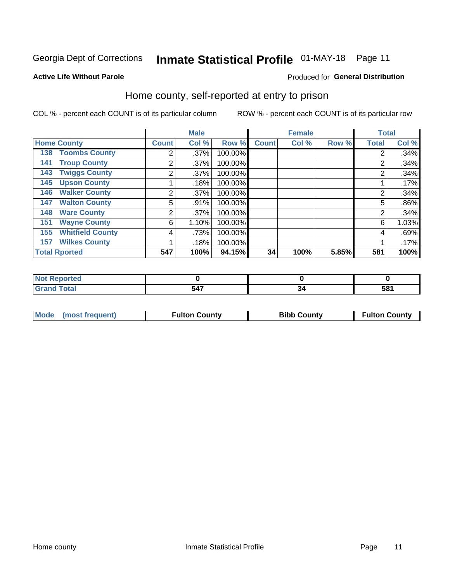## Inmate Statistical Profile 01-MAY-18 Page 11

### **Active Life Without Parole**

### Produced for General Distribution

## Home county, self-reported at entry to prison

COL % - percent each COUNT is of its particular column

|                                |              | <b>Male</b> |         |              | <b>Female</b> |       | <b>Total</b>   |         |
|--------------------------------|--------------|-------------|---------|--------------|---------------|-------|----------------|---------|
| <b>Home County</b>             | <b>Count</b> | Col %       | Row %   | <b>Count</b> | Col %         | Row % | <b>Total</b>   | Col %   |
| <b>Toombs County</b><br>138    | 2            | .37%        | 100.00% |              |               |       | 2              | .34%    |
| <b>Troup County</b><br>141     | 2            | .37%        | 100.00% |              |               |       | 2              | .34%    |
| <b>Twiggs County</b><br>143    | 2            | .37%        | 100.00% |              |               |       | 2              | .34%    |
| <b>Upson County</b><br>145     |              | .18%        | 100.00% |              |               |       |                | .17%    |
| <b>Walker County</b><br>146    | 2            | .37%        | 100.00% |              |               |       | $\overline{2}$ | .34%    |
| <b>Walton County</b><br>147    | 5            | .91%        | 100.00% |              |               |       | 5              | $.86\%$ |
| <b>Ware County</b><br>148      | 2            | .37%        | 100.00% |              |               |       | 2              | .34%    |
| <b>Wayne County</b><br>151     | 6            | 1.10%       | 100.00% |              |               |       | 6              | 1.03%   |
| <b>Whitfield County</b><br>155 | 4            | .73%        | 100.00% |              |               |       | 4              | .69%    |
| <b>Wilkes County</b><br>157    |              | .18%        | 100.00% |              |               |       |                | .17%    |
| <b>Total Rported</b>           | 547          | 100%        | 94.15%  | 34           | 100%          | 5.85% | 581            | 100%    |

| τeα                         |                                       |     |
|-----------------------------|---------------------------------------|-----|
| $\sim$ $\sim$ $\sim$ $\sim$ | $-1 -$<br>.<br>, , ,<br>$\sim$ $\sim$ | 581 |

| Mode (most frequent) | <b>Fulton County</b> | <b>Bibb County</b> | <b>Fulton County</b> |
|----------------------|----------------------|--------------------|----------------------|
|                      |                      |                    |                      |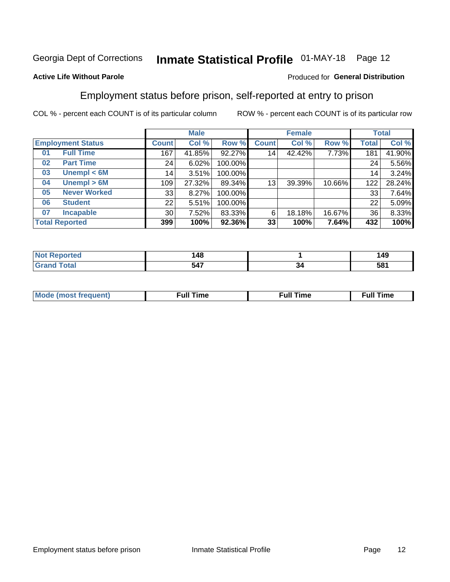## Inmate Statistical Profile 01-MAY-18 Page 12

## **Active Life Without Parole**

### Produced for General Distribution

## Employment status before prison, self-reported at entry to prison

COL % - percent each COUNT is of its particular column

|                           |                 | <b>Male</b> |         |                 | <b>Female</b> |        |                 | <b>Total</b> |
|---------------------------|-----------------|-------------|---------|-----------------|---------------|--------|-----------------|--------------|
| <b>Employment Status</b>  | <b>Count</b>    | Col %       | Row %   | <b>Count</b>    | Col %         | Row %  | Total           | Col %        |
| <b>Full Time</b><br>01    | 167             | 41.85%      | 92.27%  | 14 <sub>1</sub> | 42.42%        | 7.73%  | 181             | 41.90%       |
| <b>Part Time</b><br>02    | 24              | 6.02%       | 100.00% |                 |               |        | 24              | 5.56%        |
| Unempl $<$ 6M<br>03       | 14              | 3.51%       | 100.00% |                 |               |        | 14 <sub>1</sub> | 3.24%        |
| Unempl > 6M<br>04         | 109             | 27.32%      | 89.34%  | 13              | 39.39%        | 10.66% | 122             | 28.24%       |
| <b>Never Worked</b><br>05 | 33              | 8.27%       | 100.00% |                 |               |        | 33              | 7.64%        |
| <b>Student</b><br>06      | 22              | 5.51%       | 100.00% |                 |               |        | 22              | 5.09%        |
| <b>Incapable</b><br>07    | 30 <sup>1</sup> | 7.52%       | 83.33%  | 6               | 18.18%        | 16.67% | 36              | 8.33%        |
| <b>Total Reported</b>     | 399             | 100%        | 92.36%  | 33              | 100%          | 7.64%  | 432             | 100%         |

| u au | 148<br>$\sim$ |     | 149             |
|------|---------------|-----|-----------------|
|      | 547<br>__     | ، ت | 58 <sup>′</sup> |

| Mc | ∙u∥<br>----<br>ıme | ίuΙ<br>Πmε |
|----|--------------------|------------|
|    |                    |            |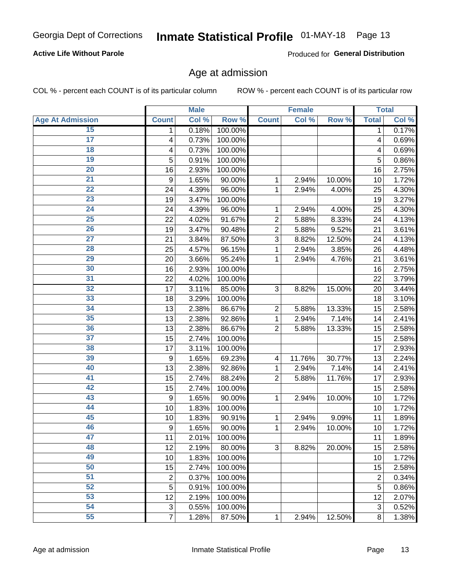## **Active Life Without Parole**

Produced for General Distribution

## Age at admission

COL % - percent each COUNT is of its particular column

|                         |                | <b>Male</b> |         |                | <b>Female</b> |        |              | <b>Total</b> |
|-------------------------|----------------|-------------|---------|----------------|---------------|--------|--------------|--------------|
| <b>Age At Admission</b> | <b>Count</b>   | Col %       | Row %   | <b>Count</b>   | Col %         | Row %  | <b>Total</b> | Col %        |
| 15                      | 1              | 0.18%       | 100.00% |                |               |        | 1            | 0.17%        |
| $\overline{17}$         | 4              | 0.73%       | 100.00% |                |               |        | 4            | 0.69%        |
| 18                      | 4              | 0.73%       | 100.00% |                |               |        | 4            | 0.69%        |
| 19                      | 5              | 0.91%       | 100.00% |                |               |        | 5            | 0.86%        |
| 20                      | 16             | 2.93%       | 100.00% |                |               |        | 16           | 2.75%        |
| $\overline{21}$         | 9              | 1.65%       | 90.00%  | 1              | 2.94%         | 10.00% | 10           | 1.72%        |
| 22                      | 24             | 4.39%       | 96.00%  | 1              | 2.94%         | 4.00%  | 25           | 4.30%        |
| 23                      | 19             | 3.47%       | 100.00% |                |               |        | 19           | 3.27%        |
| $\overline{24}$         | 24             | 4.39%       | 96.00%  | 1              | 2.94%         | 4.00%  | 25           | 4.30%        |
| $\overline{25}$         | 22             | 4.02%       | 91.67%  | $\overline{2}$ | 5.88%         | 8.33%  | 24           | 4.13%        |
| 26                      | 19             | 3.47%       | 90.48%  | $\overline{2}$ | 5.88%         | 9.52%  | 21           | 3.61%        |
| 27                      | 21             | 3.84%       | 87.50%  | 3              | 8.82%         | 12.50% | 24           | 4.13%        |
| 28                      | 25             | 4.57%       | 96.15%  | 1              | 2.94%         | 3.85%  | 26           | 4.48%        |
| 29                      | 20             | 3.66%       | 95.24%  | 1              | 2.94%         | 4.76%  | 21           | 3.61%        |
| 30                      | 16             | 2.93%       | 100.00% |                |               |        | 16           | 2.75%        |
| 31                      | 22             | 4.02%       | 100.00% |                |               |        | 22           | 3.79%        |
| 32                      | 17             | 3.11%       | 85.00%  | 3              | 8.82%         | 15.00% | 20           | 3.44%        |
| 33                      | 18             | 3.29%       | 100.00% |                |               |        | 18           | 3.10%        |
| 34                      | 13             | 2.38%       | 86.67%  | $\overline{c}$ | 5.88%         | 13.33% | 15           | 2.58%        |
| 35                      | 13             | 2.38%       | 92.86%  | 1              | 2.94%         | 7.14%  | 14           | 2.41%        |
| 36                      | 13             | 2.38%       | 86.67%  | $\overline{2}$ | 5.88%         | 13.33% | 15           | 2.58%        |
| 37                      | 15             | 2.74%       | 100.00% |                |               |        | 15           | 2.58%        |
| 38                      | 17             | 3.11%       | 100.00% |                |               |        | 17           | 2.93%        |
| 39                      | 9              | 1.65%       | 69.23%  | 4              | 11.76%        | 30.77% | 13           | 2.24%        |
| 40                      | 13             | 2.38%       | 92.86%  | 1              | 2.94%         | 7.14%  | 14           | 2.41%        |
| 41                      | 15             | 2.74%       | 88.24%  | $\overline{2}$ | 5.88%         | 11.76% | 17           | 2.93%        |
| 42                      | 15             | 2.74%       | 100.00% |                |               |        | 15           | 2.58%        |
| 43                      | 9              | 1.65%       | 90.00%  | 1              | 2.94%         | 10.00% | 10           | 1.72%        |
| 44                      | 10             | 1.83%       | 100.00% |                |               |        | 10           | 1.72%        |
| 45                      | 10             | 1.83%       | 90.91%  | 1              | 2.94%         | 9.09%  | 11           | 1.89%        |
| 46                      | 9              | 1.65%       | 90.00%  | 1              | 2.94%         | 10.00% | 10           | 1.72%        |
| 47                      | 11             | 2.01%       | 100.00% |                |               |        | 11           | 1.89%        |
| 48                      | 12             | 2.19%       | 80.00%  | 3              | 8.82%         | 20.00% | 15           | 2.58%        |
| 49                      | 10             | 1.83%       | 100.00% |                |               |        | 10           | 1.72%        |
| 50                      | 15             | 2.74%       | 100.00% |                |               |        | 15           | 2.58%        |
| 51                      | 2              | 0.37%       | 100.00% |                |               |        | 2            | 0.34%        |
| 52                      | 5              | 0.91%       | 100.00% |                |               |        | 5            | 0.86%        |
| 53                      | 12             | 2.19%       | 100.00% |                |               |        | 12           | 2.07%        |
| 54                      | 3              | 0.55%       | 100.00% |                |               |        | 3            | 0.52%        |
| 55                      | $\overline{7}$ | 1.28%       | 87.50%  | 1              | 2.94%         | 12.50% | 8            | 1.38%        |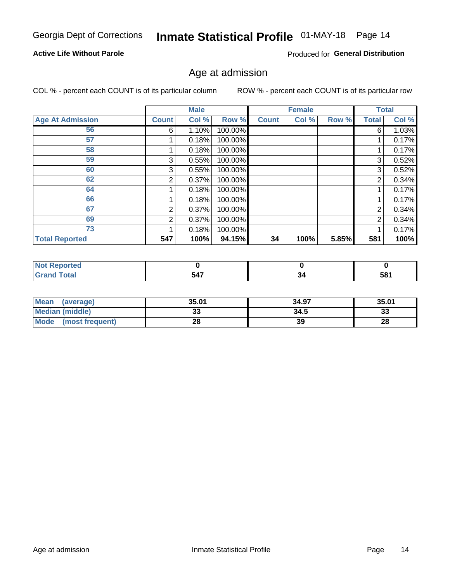## Inmate Statistical Profile 01-MAY-18 Page 14

## **Active Life Without Parole**

Produced for General Distribution

## Age at admission

COL % - percent each COUNT is of its particular column

|                         |              | <b>Male</b> |         |              | <b>Female</b> |       |              | <b>Total</b> |
|-------------------------|--------------|-------------|---------|--------------|---------------|-------|--------------|--------------|
| <b>Age At Admission</b> | <b>Count</b> | Col %       | Row %   | <b>Count</b> | Col %         | Row % | <b>Total</b> | Col %        |
| 56                      | 6            | 1.10%       | 100.00% |              |               |       | 6            | 1.03%        |
| 57                      |              | 0.18%       | 100.00% |              |               |       |              | 0.17%        |
| 58                      |              | 0.18%       | 100.00% |              |               |       |              | 0.17%        |
| 59                      | 3            | 0.55%       | 100.00% |              |               |       | 3            | 0.52%        |
| 60                      | 3            | 0.55%       | 100.00% |              |               |       | 3            | 0.52%        |
| 62                      | 2            | 0.37%       | 100.00% |              |               |       | 2            | 0.34%        |
| 64                      |              | 0.18%       | 100.00% |              |               |       |              | 0.17%        |
| 66                      |              | 0.18%       | 100.00% |              |               |       |              | 0.17%        |
| 67                      | 2            | 0.37%       | 100.00% |              |               |       | 2            | 0.34%        |
| 69                      | 2            | 0.37%       | 100.00% |              |               |       | 2            | 0.34%        |
| 73                      |              | 0.18%       | 100.00% |              |               |       |              | 0.17%        |
| <b>Total Reported</b>   | 547          | 100%        | 94.15%  | 34           | 100%          | 5.85% | 581          | 100%         |

| <b>NOT Reported</b> |     |    |            |
|---------------------|-----|----|------------|
| <b>Fotal</b>        | 547 | יש | 521<br>JU. |

| <b>Mean</b><br>(average)       | 35.01    | 34.97 | 35.01 |
|--------------------------------|----------|-------|-------|
| <b>Median (middle)</b>         | ົ<br>JJ  | 34.5  | 33    |
| <b>Mode</b><br>(most frequent) | ററ<br>ZO | 39    | 28    |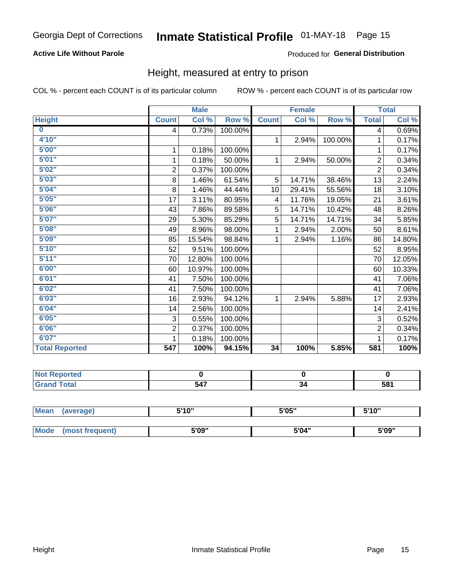## **Active Life Without Parole**

## Produced for General Distribution

## Height, measured at entry to prison

COL % - percent each COUNT is of its particular column

|                         |                | <b>Male</b> |         |                 | <b>Female</b> |         |                | <b>Total</b> |
|-------------------------|----------------|-------------|---------|-----------------|---------------|---------|----------------|--------------|
| <b>Height</b>           | <b>Count</b>   | Col %       | Row %   | <b>Count</b>    | Col %         | Row %   | <b>Total</b>   | Col %        |
| $\overline{\mathbf{0}}$ | 4              | 0.73%       | 100.00% |                 |               |         | 4              | 0.69%        |
| 4'10"                   |                |             |         | $\mathbf{1}$    | 2.94%         | 100.00% | 1              | 0.17%        |
| 5'00''                  | 1              | 0.18%       | 100.00% |                 |               |         | 1              | 0.17%        |
| 5'01"                   | $\mathbf 1$    | 0.18%       | 50.00%  | $\mathbf 1$     | 2.94%         | 50.00%  | $\overline{2}$ | 0.34%        |
| 5'02"                   | $\overline{2}$ | 0.37%       | 100.00% |                 |               |         | $\overline{2}$ | 0.34%        |
| 5'03"                   | 8              | 1.46%       | 61.54%  | 5               | 14.71%        | 38.46%  | 13             | 2.24%        |
| 5'04"                   | 8              | 1.46%       | 44.44%  | 10 <sup>1</sup> | 29.41%        | 55.56%  | 18             | 3.10%        |
| 5'05"                   | 17             | 3.11%       | 80.95%  | 4               | 11.76%        | 19.05%  | 21             | 3.61%        |
| 5'06''                  | 43             | 7.86%       | 89.58%  | 5               | 14.71%        | 10.42%  | 48             | 8.26%        |
| 5'07"                   | 29             | 5.30%       | 85.29%  | 5               | 14.71%        | 14.71%  | 34             | 5.85%        |
| 5'08''                  | 49             | 8.96%       | 98.00%  | 1.              | 2.94%         | 2.00%   | 50             | 8.61%        |
| 5'09''                  | 85             | 15.54%      | 98.84%  | $\mathbf 1$     | 2.94%         | 1.16%   | 86             | 14.80%       |
| 5'10''                  | 52             | 9.51%       | 100.00% |                 |               |         | 52             | 8.95%        |
| 5'11''                  | 70             | 12.80%      | 100.00% |                 |               |         | 70             | 12.05%       |
| 6'00''                  | 60             | 10.97%      | 100.00% |                 |               |         | 60             | 10.33%       |
| 6'01''                  | 41             | 7.50%       | 100.00% |                 |               |         | 41             | 7.06%        |
| 6'02"                   | 41             | 7.50%       | 100.00% |                 |               |         | 41             | 7.06%        |
| 6'03''                  | 16             | 2.93%       | 94.12%  | $\mathbf{1}$    | 2.94%         | 5.88%   | 17             | 2.93%        |
| 6'04"                   | 14             | 2.56%       | 100.00% |                 |               |         | 14             | 2.41%        |
| 6'05"                   | 3              | 0.55%       | 100.00% |                 |               |         | 3              | 0.52%        |
| 6'06''                  | $\overline{2}$ | 0.37%       | 100.00% |                 |               |         | $\overline{2}$ | 0.34%        |
| 6'07''                  |                | 0.18%       | 100.00% |                 |               |         |                | 0.17%        |
| <b>Total Reported</b>   | 547            | 100%        | 94.15%  | 34              | 100%          | 5.85%   | 581            | 100%         |

| 'N<br>rtea<br>$\sim$                  |                      |    |            |
|---------------------------------------|----------------------|----|------------|
| and the second contract of the second | 547<br>$\sim$ $\sim$ | J٠ | co,<br>IJΟ |

| <b>Mean</b> | (average)       | 5'10" | 5'05" | 5'10" |
|-------------|-----------------|-------|-------|-------|
|             |                 |       |       |       |
| <b>Mode</b> | (most frequent) | 5'09" | 5'04" | 5'09" |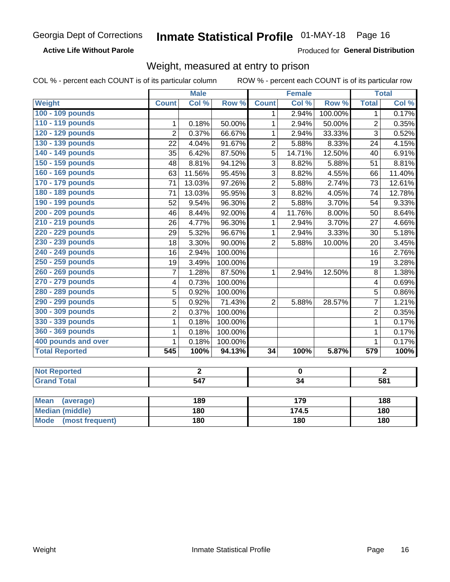#### Inmate Statistical Profile 01-MAY-18 Page 16

**Active Life Without Parole** 

Produced for General Distribution

## Weight, measured at entry to prison

COL % - percent each COUNT is of its particular column

|                                |                | <b>Male</b>      |         |                         | <b>Female</b>           |         |                         | <b>Total</b>   |
|--------------------------------|----------------|------------------|---------|-------------------------|-------------------------|---------|-------------------------|----------------|
| <b>Weight</b>                  | <b>Count</b>   | Col%             | Row %   | <b>Count</b>            | Col %                   | Row %   | <b>Total</b>            | Col%           |
| 100 - 109 pounds               |                |                  |         | $\mathbf 1$             | 2.94%                   | 100.00% | 1                       | 0.17%          |
| 110 - 119 pounds               | 1              | 0.18%            | 50.00%  | 1                       | 2.94%                   | 50.00%  | $\overline{2}$          | 0.35%          |
| 120 - 129 pounds               | $\overline{2}$ | 0.37%            | 66.67%  | 1                       | 2.94%                   | 33.33%  | $\overline{3}$          | 0.52%          |
| 130 - 139 pounds               | 22             | 4.04%            | 91.67%  | $\overline{2}$          | 5.88%                   | 8.33%   | 24                      | 4.15%          |
| 140 - 149 pounds               | 35             | 6.42%            | 87.50%  | 5                       | 14.71%                  | 12.50%  | 40                      | 6.91%          |
| 150 - 159 pounds               | 48             | 8.81%            | 94.12%  | $\overline{3}$          | 8.82%                   | 5.88%   | 51                      | 8.81%          |
| 160 - 169 pounds               | 63             | 11.56%           | 95.45%  | 3                       | 8.82%                   | 4.55%   | 66                      | 11.40%         |
| 170 - 179 pounds               | 71             | 13.03%           | 97.26%  | $\overline{2}$          | 5.88%                   | 2.74%   | 73                      | 12.61%         |
| 180 - 189 pounds               | 71             | 13.03%           | 95.95%  | $\overline{3}$          | 8.82%                   | 4.05%   | 74                      | 12.78%         |
| 190 - 199 pounds               | 52             | 9.54%            | 96.30%  | $\overline{2}$          | 5.88%                   | 3.70%   | 54                      | 9.33%          |
| 200 - 209 pounds               | 46             | 8.44%            | 92.00%  | $\overline{\mathbf{4}}$ | 11.76%                  | 8.00%   | 50                      | 8.64%          |
| 210 - 219 pounds               | 26             | 4.77%            | 96.30%  | $\mathbf{1}$            | 2.94%                   | 3.70%   | 27                      | 4.66%          |
| 220 - 229 pounds               | 29             | 5.32%            | 96.67%  | 1                       | 2.94%                   | 3.33%   | 30                      | 5.18%          |
| 230 - 239 pounds               | 18             | 3.30%            | 90.00%  | $\overline{2}$          | 5.88%                   | 10.00%  | 20                      | 3.45%          |
| 240 - 249 pounds               | 16             | 2.94%            | 100.00% |                         |                         |         | 16                      | 2.76%          |
| 250 - 259 pounds               | 19             | 3.49%            | 100.00% |                         |                         |         | 19                      | 3.28%          |
| 260 - 269 pounds               | $\overline{7}$ | 1.28%            | 87.50%  | $\mathbf 1$             | 2.94%                   | 12.50%  | $\,8\,$                 | 1.38%          |
| 270 - 279 pounds               | 4              | 0.73%            | 100.00% |                         |                         |         | $\overline{\mathbf{4}}$ | 0.69%          |
| 280 - 289 pounds               | 5              | 0.92%            | 100.00% |                         |                         |         | $\overline{5}$          | 0.86%          |
| 290 - 299 pounds               | 5              | 0.92%            | 71.43%  | $\overline{2}$          | 5.88%                   | 28.57%  | 7                       | 1.21%          |
| 300 - 309 pounds               | $\overline{2}$ | 0.37%            | 100.00% |                         |                         |         | $\overline{2}$          | 0.35%          |
| 330 - 339 pounds               | $\mathbf{1}$   | 0.18%            | 100.00% |                         |                         |         | $\mathbf{1}$            | 0.17%          |
| 360 - 369 pounds               | 1              | 0.18%            | 100.00% |                         |                         |         | 1                       | 0.17%          |
| 400 pounds and over            | $\mathbf{1}$   | 0.18%            | 100.00% |                         |                         |         | $\mathbf 1$             | 0.17%          |
| <b>Total Reported</b>          | 545            | 100%             | 94.13%  | $\overline{34}$         | 100%                    | 5.87%   | $\overline{579}$        | 100%           |
|                                |                |                  |         |                         |                         |         |                         |                |
| <b>Not Reported</b>            |                | $\overline{2}$   |         |                         | $\overline{\mathbf{0}}$ |         |                         | $\overline{2}$ |
| <b>Grand Total</b>             |                | $\overline{547}$ |         |                         | $\overline{34}$         |         |                         | 581            |
|                                |                |                  |         |                         |                         |         |                         |                |
| <b>Mean</b><br>(average)       |                | 189              |         |                         | 179                     |         |                         | 188            |
| <b>Median (middle)</b>         |                | 180              |         |                         | 174.5                   |         |                         | 180            |
| <b>Mode</b><br>(most frequent) |                | 180              |         |                         | 180                     |         |                         | 180            |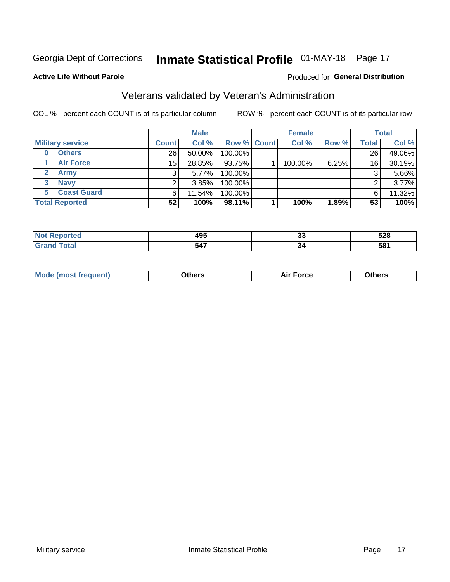## Inmate Statistical Profile 01-MAY-18 Page 17

### **Active Life Without Parole**

### Produced for General Distribution

## Veterans validated by Veteran's Administration

COL % - percent each COUNT is of its particular column

|                          |                 | <b>Male</b> |                    | <b>Female</b> |       |       | <b>Total</b> |
|--------------------------|-----------------|-------------|--------------------|---------------|-------|-------|--------------|
| <b>Military service</b>  | <b>Count</b>    | Col %       | <b>Row % Count</b> | Col %         | Row % | Total | Col %        |
| <b>Others</b><br>0       | 26              | 50.00%      | 100.00%            |               |       | 26    | 49.06%       |
| <b>Air Force</b>         | 15 <sup>2</sup> | 28.85%      | 93.75%             | 100.00%       | 6.25% | 16    | 30.19%       |
| <b>Army</b>              |                 | 5.77%       | 100.00%            |               |       | 3     | 5.66%        |
| <b>Navy</b><br>3         |                 | $3.85\%$    | 100.00%            |               |       | ⌒     | 3.77%        |
| <b>Coast Guard</b><br>5. | 6               | 11.54%      | 100.00%            |               |       | 6     | 11.32%       |
| <b>Total Reported</b>    | 52              | 100%        | 98.11%             | 100%          | 1.89% | 53    | 100%         |

| rao           | $\sim$<br>493<br>$ -$ | n.<br>u             | 528 |
|---------------|-----------------------|---------------------|-----|
| $f = 4 \pi f$ | 547                   | J۶<br>$\sim$ $\sim$ | 581 |

| <b>Moo.</b> |
|-------------|
|-------------|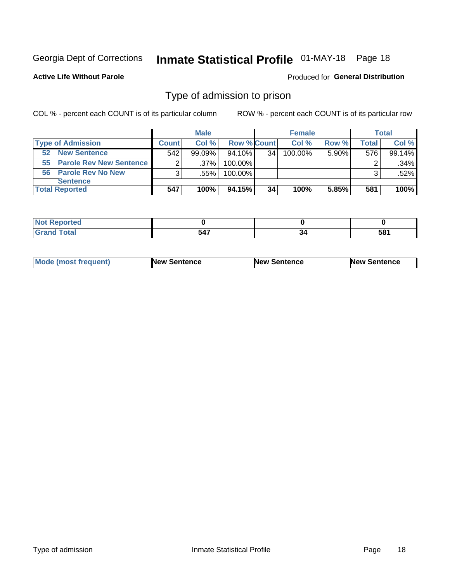## Inmate Statistical Profile 01-MAY-18 Page 18

### **Active Life Without Parole**

### Produced for General Distribution

## Type of admission to prison

COL % - percent each COUNT is of its particular column

|                            |                | <b>Male</b> |             |    | <b>Female</b> |          |       | Total  |
|----------------------------|----------------|-------------|-------------|----|---------------|----------|-------|--------|
| <b>Type of Admission</b>   | <b>Count</b>   | Col %       | Row % Count |    | Col %         | Row %    | Total | Col %  |
| <b>New Sentence</b><br>52  | 542            | $99.09\%$   | 94.10%      | 34 | 100.00%       | $5.90\%$ | 576   | 99.14% |
| 55 Parole Rev New Sentence | 2 <sub>1</sub> | $.37\%$     | 100.00%     |    |               |          |       | .34%   |
| 56 Parole Rev No New       | 3              | .55%        | 100.00%     |    |               |          | 3     | .52%   |
| <b>Sentence</b>            |                |             |             |    |               |          |       |        |
| <b>Total Reported</b>      | 547            | 100%        | 94.15%      | 34 | 100%          | 5.85%    | 581   | 100%   |

| rted<br>N |                         |     |             |
|-----------|-------------------------|-----|-------------|
| -         | $-1 -$<br>, ,<br>$\sim$ | -34 | 581<br>$ -$ |

| <b>Mode (most frequent)</b> | <b>New Sentence</b> | New Sentence | <b>New Sentence</b> |
|-----------------------------|---------------------|--------------|---------------------|
|                             |                     |              |                     |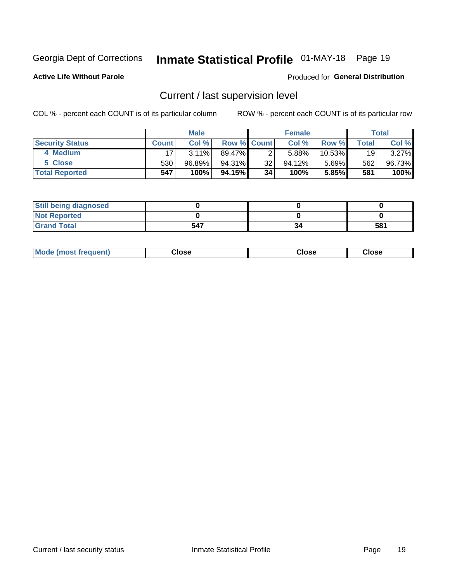## Inmate Statistical Profile 01-MAY-18 Page 19

**Active Life Without Parole** 

### Produced for General Distribution

## Current / last supervision level

COL % - percent each COUNT is of its particular column

|                        |              | <b>Male</b> |                    |    | <b>Female</b> |           |       | <b>Total</b> |
|------------------------|--------------|-------------|--------------------|----|---------------|-----------|-------|--------------|
| <b>Security Status</b> | <b>Count</b> | Col %       | <b>Row % Count</b> |    | Col %         | Row %     | Total | Col %        |
| 4 Medium               | 17           | $3.11\%$    | 89.47%             | 2  | 5.88%         | $10.53\%$ | 19    | $3.27\%$     |
| 5 Close                | 530          | 96.89%      | 94.31%             | 32 | 94.12%        | $5.69\%$  | 562   | 96.73%       |
| <b>Total Reported</b>  | 547          | 100%        | $94.15\%$          | 34 | 100%          | 5.85%     | 581   | 100%         |

| <b>Still being diagnosed</b> |     |    |     |
|------------------------------|-----|----|-----|
| <b>Not Reported</b>          |     |    |     |
| <b>Grand Total</b>           | 547 | 34 | 581 |

| <b>Mode (most frequent)</b> | Close | ∵lose | Close |
|-----------------------------|-------|-------|-------|
|                             |       |       |       |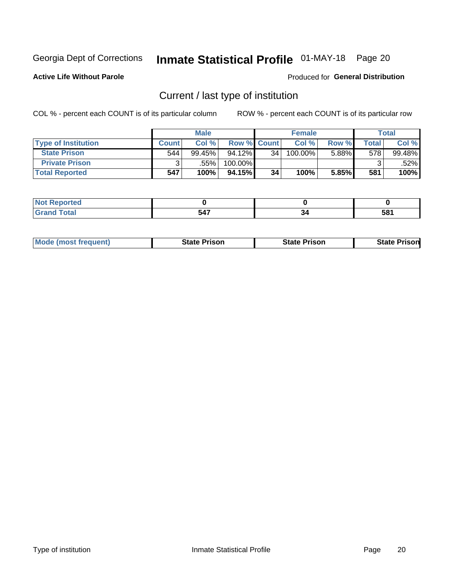## Inmate Statistical Profile 01-MAY-18 Page 20

**Active Life Without Parole** 

### Produced for General Distribution

## Current / last type of institution

COL % - percent each COUNT is of its particular column

|                            |              | <b>Male</b> |                    |    | <b>Female</b> |          |       | <b>Total</b> |
|----------------------------|--------------|-------------|--------------------|----|---------------|----------|-------|--------------|
| <b>Type of Institution</b> | <b>Count</b> | Col %       | <b>Row % Count</b> |    | Col %         | Row %    | Total | Col %        |
| <b>State Prison</b>        | 544          | $99.45\%$   | $94.12\%$          | 34 | 100.00%       | $5.88\%$ | 578   | 99.48%       |
| <b>Private Prison</b>      |              | .55%        | 100.00%            |    |               |          |       | .52%         |
| <b>Total Reported</b>      | 547          | 100%        | 94.15%             | 34 | 100%          | 5.85%    | 581   | 100%         |

| <b>eported</b> |                     |    |            |
|----------------|---------------------|----|------------|
| <b>otal</b>    | <b>EA7</b><br>- 34. | ءد | E04<br>IJΟ |

|  | <b>Mode (most frequent)</b> | State Prison | <b>State Prison</b> | risonl<br>State |
|--|-----------------------------|--------------|---------------------|-----------------|
|--|-----------------------------|--------------|---------------------|-----------------|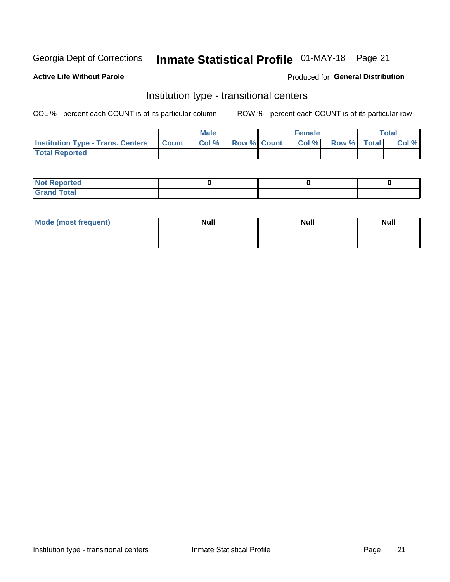## Inmate Statistical Profile 01-MAY-18 Page 21

### **Active Life Without Parole**

### Produced for General Distribution

## Institution type - transitional centers

COL % - percent each COUNT is of its particular column

|                                                | <b>Male</b> |                    | <b>Female</b> |             | <b>Total</b> |
|------------------------------------------------|-------------|--------------------|---------------|-------------|--------------|
| <b>Institution Type - Trans. Centers Count</b> | CoI%        | <b>Row % Count</b> | Col % l       | Row % Total | Col %        |
| <b>Total Reported</b>                          |             |                    |               |             |              |

| <b>Reported</b><br><b>NOT</b><br>$\sim$            |  |  |
|----------------------------------------------------|--|--|
| $f$ $f \circ f \circ f$<br>$C = 1$<br><b>TULAI</b> |  |  |

| Mode (most frequent) | <b>Null</b> | <b>Null</b> | <b>Null</b> |
|----------------------|-------------|-------------|-------------|
|                      |             |             |             |
|                      |             |             |             |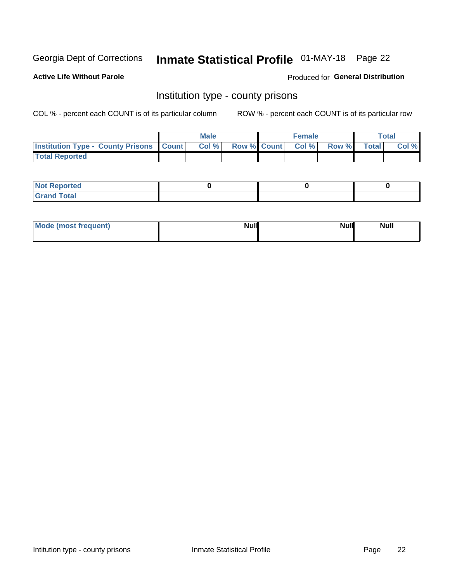## Inmate Statistical Profile 01-MAY-18 Page 22

**Active Life Without Parole** 

Produced for General Distribution

## Institution type - county prisons

COL % - percent each COUNT is of its particular column

|                                                    | <b>Male</b> |  | <b>Female</b>            |             | <b>Total</b> |
|----------------------------------------------------|-------------|--|--------------------------|-------------|--------------|
| <b>Institution Type - County Prisons   Count  </b> | Col %       |  | <b>Row % Count Col %</b> | Row % Total | Col %        |
| <b>Total Reported</b>                              |             |  |                          |             |              |

| <b>Not</b><br>: Reported<br> |  |  |
|------------------------------|--|--|
| <b>Total</b><br>---          |  |  |

| Mode (most frequent) | <b>Null</b> | <b>Null</b><br><b>Null</b> |
|----------------------|-------------|----------------------------|
|                      |             |                            |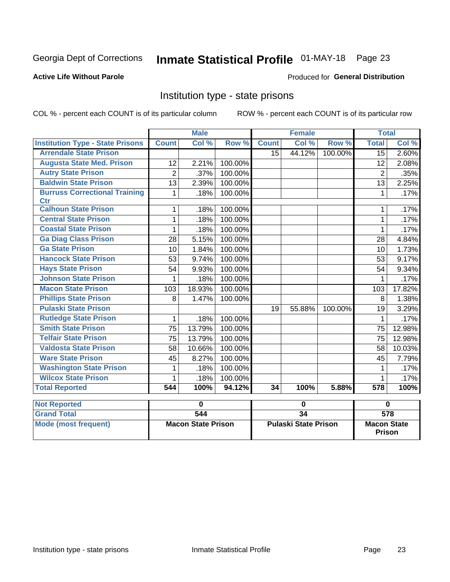## Inmate Statistical Profile 01-MAY-18 Page 23

## **Active Life Without Parole**

### Produced for General Distribution

## Institution type - state prisons

COL % - percent each COUNT is of its particular column

|                                                    |                | <b>Male</b> |         |                  | <b>Female</b> |         | <b>Total</b>     |        |
|----------------------------------------------------|----------------|-------------|---------|------------------|---------------|---------|------------------|--------|
| <b>Institution Type - State Prisons</b>            | <b>Count</b>   | Col %       | Row %   | <b>Count</b>     | Col %         | Row %   | <b>Total</b>     | Col %  |
| <b>Arrendale State Prison</b>                      |                |             |         | 15 <sup>15</sup> | 44.12%        | 100.00% | 15               | 2.60%  |
| <b>Augusta State Med. Prison</b>                   | 12             | 2.21%       | 100.00% |                  |               |         | 12               | 2.08%  |
| <b>Autry State Prison</b>                          | $\overline{2}$ | .37%        | 100.00% |                  |               |         | $\overline{2}$   | .35%   |
| <b>Baldwin State Prison</b>                        | 13             | 2.39%       | 100.00% |                  |               |         | 13               | 2.25%  |
| <b>Burruss Correctional Training</b><br><b>Ctr</b> | 1              | .18%        | 100.00% |                  |               |         | 1                | .17%   |
| <b>Calhoun State Prison</b>                        | 1              | .18%        | 100.00% |                  |               |         |                  | .17%   |
| <b>Central State Prison</b>                        | 1              | .18%        | 100.00% |                  |               |         | 1                | .17%   |
| <b>Coastal State Prison</b>                        | 1              | .18%        | 100.00% |                  |               |         | 1                | .17%   |
| <b>Ga Diag Class Prison</b>                        | 28             | 5.15%       | 100.00% |                  |               |         | 28               | 4.84%  |
| <b>Ga State Prison</b>                             | 10             | 1.84%       | 100.00% |                  |               |         | 10               | 1.73%  |
| <b>Hancock State Prison</b>                        | 53             | 9.74%       | 100.00% |                  |               |         | 53               | 9.17%  |
| <b>Hays State Prison</b>                           | 54             | 9.93%       | 100.00% |                  |               |         | 54               | 9.34%  |
| <b>Johnson State Prison</b>                        | 1              | .18%        | 100.00% |                  |               |         |                  | .17%   |
| <b>Macon State Prison</b>                          | 103            | 18.93%      | 100.00% |                  |               |         | 103              | 17.82% |
| <b>Phillips State Prison</b>                       | 8              | 1.47%       | 100.00% |                  |               |         | 8                | 1.38%  |
| <b>Pulaski State Prison</b>                        |                |             |         | 19               | 55.88%        | 100.00% | 19               | 3.29%  |
| <b>Rutledge State Prison</b>                       | 1              | .18%        | 100.00% |                  |               |         | 1                | .17%   |
| <b>Smith State Prison</b>                          | 75             | 13.79%      | 100.00% |                  |               |         | 75               | 12.98% |
| <b>Telfair State Prison</b>                        | 75             | 13.79%      | 100.00% |                  |               |         | 75               | 12.98% |
| <b>Valdosta State Prison</b>                       | 58             | 10.66%      | 100.00% |                  |               |         | 58               | 10.03% |
| <b>Ware State Prison</b>                           | 45             | 8.27%       | 100.00% |                  |               |         | 45               | 7.79%  |
| <b>Washington State Prison</b>                     |                | .18%        | 100.00% |                  |               |         |                  | .17%   |
| <b>Wilcox State Prison</b>                         | 1              | .18%        | 100.00% |                  |               |         | 1                | .17%   |
| <b>Total Reported</b>                              | 544            | 100%        | 94.12%  | 34               | 100%          | 5.88%   | $\overline{578}$ | 100%   |
| Net Donauted                                       |                | U           |         |                  | U             |         |                  |        |

| <b>Not Reported</b>  |                           |                             |                                     |
|----------------------|---------------------------|-----------------------------|-------------------------------------|
| <b>Grand Total</b>   | 544                       |                             | 578                                 |
| Mode (most frequent) | <b>Macon State Prison</b> | <b>Pulaski State Prison</b> | <b>Macon State</b><br><b>Prison</b> |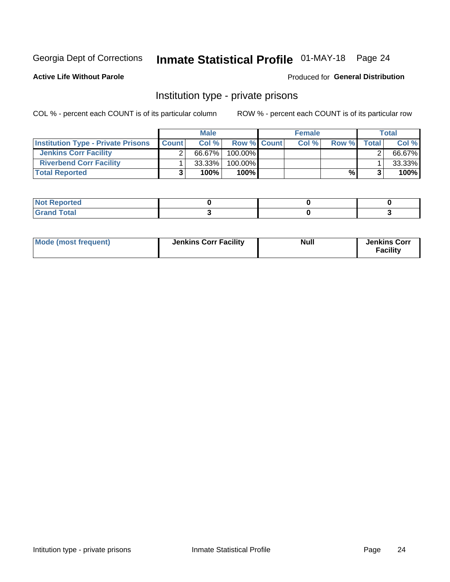## Inmate Statistical Profile 01-MAY-18 Page 24

## **Active Life Without Parole**

### Produced for General Distribution

## Institution type - private prisons

COL % - percent each COUNT is of its particular column

|                                           |              | <b>Male</b> |                    | <b>Female</b> |              |              | <b>Total</b> |
|-------------------------------------------|--------------|-------------|--------------------|---------------|--------------|--------------|--------------|
| <b>Institution Type - Private Prisons</b> | <b>Count</b> | Col%        | <b>Row % Count</b> | Col%          | <b>Row %</b> | <b>Total</b> | Col %        |
| <b>Jenkins Corr Facility</b>              |              | 66.67%      | $100.00\%$         |               |              |              | 66.67%       |
| <b>Riverbend Corr Facility</b>            |              | $33.33\%$   | 100.00%            |               |              |              | 33.33%       |
| <b>Total Reported</b>                     | ≏            | 100%        | $100\%$            |               | %            |              | 100%         |

| teol                      |  |  |
|---------------------------|--|--|
| $\sim$ $\sim$ $\sim$<br>_ |  |  |

| Mode (most frequent) | <b>Jenkins Corr Facility</b> | <b>Null</b> | <b>Jenkins Corr</b><br><b>Facility</b> |
|----------------------|------------------------------|-------------|----------------------------------------|
|----------------------|------------------------------|-------------|----------------------------------------|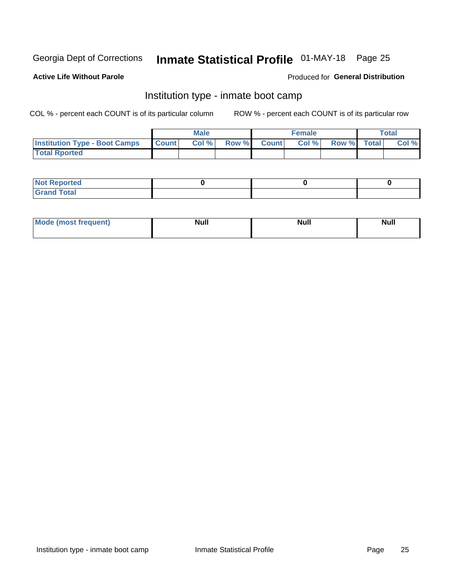## Inmate Statistical Profile 01-MAY-18 Page 25

### **Active Life Without Parole**

### Produced for General Distribution

## Institution type - inmate boot camp

COL % - percent each COUNT is of its particular column

|                                      |              | <b>Male</b> |               |              | <b>Female</b> |             | <b>Total</b> |
|--------------------------------------|--------------|-------------|---------------|--------------|---------------|-------------|--------------|
| <b>Institution Type - Boot Camps</b> | <b>Count</b> | Col %       | <b>Row %I</b> | <b>Count</b> | Col %         | Row % Total | Col %        |
| <b>Total Rported</b>                 |              |             |               |              |               |             |              |

| <b>Not Reported</b>            |  |  |
|--------------------------------|--|--|
| <b>Total</b><br>C <sub>r</sub> |  |  |

| Mod<br>uamo | Nul.<br>$- - - - - -$ | <b>Null</b> | . .<br>uu.<br>------ |
|-------------|-----------------------|-------------|----------------------|
|             |                       |             |                      |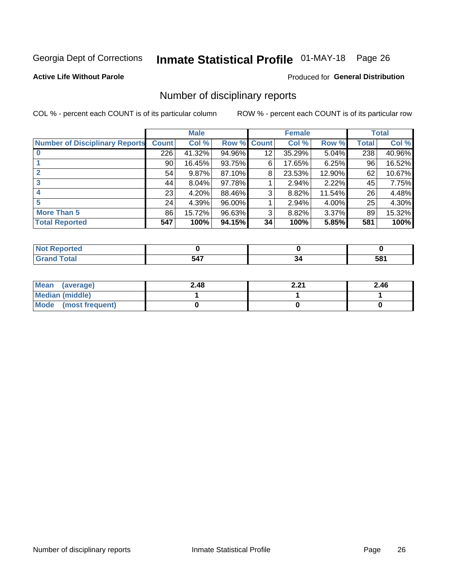## Inmate Statistical Profile 01-MAY-18 Page 26

## **Active Life Without Parole**

### Produced for General Distribution

## Number of disciplinary reports

COL % - percent each COUNT is of its particular column

|                                       |              | <b>Male</b> |             |    | <b>Female</b> |          |       | <b>Total</b> |
|---------------------------------------|--------------|-------------|-------------|----|---------------|----------|-------|--------------|
| <b>Number of Disciplinary Reports</b> | <b>Count</b> | Col %       | Row % Count |    | Col %         | Row %    | Total | Col %        |
|                                       | 226          | 41.32%      | 94.96%      | 12 | 35.29%        | $5.04\%$ | 238   | 40.96%       |
|                                       | 90           | 16.45%      | 93.75%      | 6  | 17.65%        | 6.25%    | 96    | 16.52%       |
|                                       | 54           | 9.87%       | 87.10%      | 8  | 23.53%        | 12.90%   | 62    | 10.67%       |
| 3                                     | 44           | $8.04\%$    | 97.78%      |    | 2.94%         | 2.22%    | 45    | 7.75%        |
|                                       | 23           | 4.20%       | 88.46%      | 3  | 8.82%         | 11.54%   | 26    | 4.48%        |
| 5                                     | 24           | 4.39%       | 96.00%      |    | 2.94%         | 4.00%    | 25    | 4.30%        |
| <b>More Than 5</b>                    | 86           | 15.72%      | 96.63%      | 3  | 8.82%         | $3.37\%$ | 89    | 15.32%       |
| <b>Total Reported</b>                 | 547          | 100%        | 94.15%      | 34 | 100%          | 5.85%    | 581   | 100%         |

| N |     |    |     |
|---|-----|----|-----|
|   | 547 | ⊶ت | 581 |

| Mean (average)       | 2.48 | 2.21 | 2.46 |
|----------------------|------|------|------|
| Median (middle)      |      |      |      |
| Mode (most frequent) |      |      |      |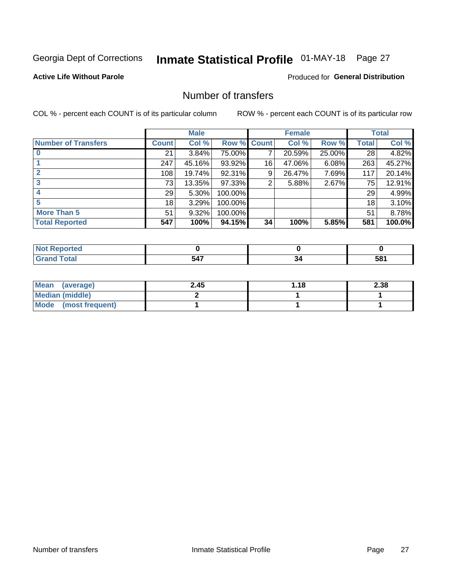## Inmate Statistical Profile 01-MAY-18 Page 27

## **Active Life Without Parole**

## **Produced for General Distribution**

## Number of transfers

COL % - percent each COUNT is of its particular column

|                            |         | <b>Male</b> |         |              | <b>Female</b> |          |              | <b>Total</b> |
|----------------------------|---------|-------------|---------|--------------|---------------|----------|--------------|--------------|
| <b>Number of Transfers</b> | Count l | Col %       | Row %   | <b>Count</b> | Col %         | Row %    | <b>Total</b> | Col %        |
|                            | 21      | $3.84\%$    | 75.00%  | 7            | 20.59%        | 25.00%   | 28           | 4.82%        |
|                            | 247     | 45.16%      | 93.92%  | 16           | 47.06%        | 6.08%    | 263          | 45.27%       |
|                            | 108     | 19.74%      | 92.31%  | 9            | 26.47%        | 7.69%    | 117          | 20.14%       |
| 3                          | 73      | 13.35%      | 97.33%  | 2            | 5.88%         | $2.67\%$ | 75           | 12.91%       |
|                            | 29      | 5.30%       | 100.00% |              |               |          | 29           | 4.99%        |
| 5                          | 18      | 3.29%       | 100.00% |              |               |          | 18           | 3.10%        |
| <b>More Than 5</b>         | 51      | 9.32%       | 100.00% |              |               |          | 51           | 8.78%        |
| <b>Total Reported</b>      | 547     | 100%        | 94.15%  | 34           | 100%          | 5.85%    | 581          | 100.0%       |

| теа<br>NO |     |    |                 |
|-----------|-----|----|-----------------|
|           | 547 | ءت | 58 <sup>°</sup> |

| Mean (average)       | 2.45 | 1.18 | 2.38 |
|----------------------|------|------|------|
| Median (middle)      |      |      |      |
| Mode (most frequent) |      |      |      |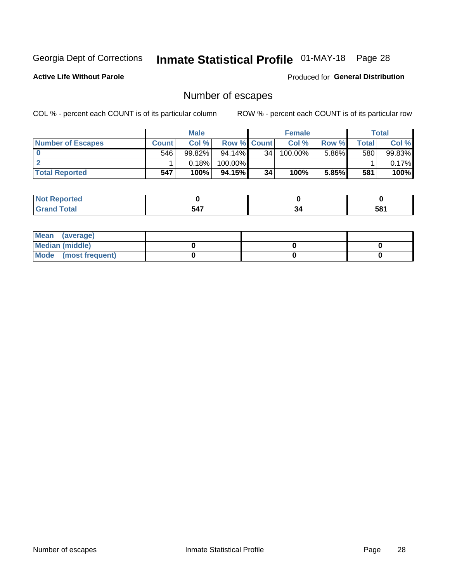## Inmate Statistical Profile 01-MAY-18 Page 28

**Active Life Without Parole** 

Produced for General Distribution

## Number of escapes

COL % - percent each COUNT is of its particular column

|                          | <b>Male</b>  |           |                    | <b>Female</b>   |         |       | <b>Total</b> |        |
|--------------------------|--------------|-----------|--------------------|-----------------|---------|-------|--------------|--------|
| <b>Number of Escapes</b> | <b>Count</b> | Col %     | <b>Row % Count</b> |                 | Col %   | Row % | Total I      | Col %  |
|                          | 546          | $99.82\%$ | 94.14%             | 34 <sub>1</sub> | 100.00% | 5.86% | 580          | 99.83% |
|                          |              | 0.18%     | 100.00%            |                 |         |       |              | 0.17%  |
| <b>Total Reported</b>    | 547          | 100%      | 94.15%             | 34              | 100%    | 5.85% | 581          | 100%   |

| rtea                                              |     |    |     |
|---------------------------------------------------|-----|----|-----|
| $f \wedge f \wedge f$<br>υιαι<br>$\mathsf{v}$ and | 547 | 34 | 581 |

| Mean (average)       |  |  |
|----------------------|--|--|
| Median (middle)      |  |  |
| Mode (most frequent) |  |  |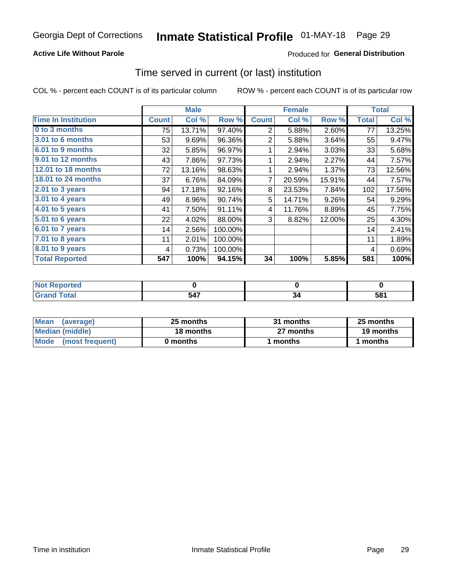## **Active Life Without Parole**

## **Produced for General Distribution**

## Time served in current (or last) institution

COL % - percent each COUNT is of its particular column

|                            |              | <b>Male</b> |         |                | <b>Female</b> |        |              | <b>Total</b> |
|----------------------------|--------------|-------------|---------|----------------|---------------|--------|--------------|--------------|
| <b>Time In Institution</b> | <b>Count</b> | Col %       | Row %   | <b>Count</b>   | Col %         | Row %  | <b>Total</b> | Col %        |
| 0 to 3 months              | 75           | 13.71%      | 97.40%  | 2              | 5.88%         | 2.60%  | 77           | 13.25%       |
| 3.01 to 6 months           | 53           | 9.69%       | 96.36%  | $\overline{2}$ | 5.88%         | 3.64%  | 55           | 9.47%        |
| 6.01 to 9 months           | 32           | 5.85%       | 96.97%  |                | 2.94%         | 3.03%  | 33           | 5.68%        |
| 9.01 to 12 months          | 43           | 7.86%       | 97.73%  | 1              | 2.94%         | 2.27%  | 44           | 7.57%        |
| <b>12.01 to 18 months</b>  | 72           | 13.16%      | 98.63%  | 1              | 2.94%         | 1.37%  | 73           | 12.56%       |
| 18.01 to 24 months         | 37           | 6.76%       | 84.09%  | 7              | 20.59%        | 15.91% | 44           | 7.57%        |
| 2.01 to 3 years            | 94           | 17.18%      | 92.16%  | 8              | 23.53%        | 7.84%  | 102          | 17.56%       |
| 3.01 to 4 years            | 49           | 8.96%       | 90.74%  | 5              | 14.71%        | 9.26%  | 54           | 9.29%        |
| 4.01 to 5 years            | 41           | 7.50%       | 91.11%  | 4              | 11.76%        | 8.89%  | 45           | 7.75%        |
| 5.01 to 6 years            | 22           | 4.02%       | 88.00%  | 3              | 8.82%         | 12.00% | 25           | 4.30%        |
| 6.01 to 7 years            | 14           | 2.56%       | 100.00% |                |               |        | 14           | 2.41%        |
| 7.01 to 8 years            | 11           | 2.01%       | 100.00% |                |               |        | 11           | 1.89%        |
| 8.01 to 9 years            | 4            | 0.73%       | 100.00% |                |               |        | 4            | 0.69%        |
| <b>Total Reported</b>      | 547          | 100%        | 94.15%  | 34             | 100%          | 5.85%  | 581          | 100%         |

| المناسب<br><b>NOT</b><br>τeα |                      |        |
|------------------------------|----------------------|--------|
| $\sim$                       | TAT<br>$\sim$ $\sim$ | <br>58 |

| <b>Mean</b><br>(average) | 25 months | 31 months | 25 months |  |  |
|--------------------------|-----------|-----------|-----------|--|--|
| Median (middle)          | 18 months | 27 months | 19 months |  |  |
| Mode<br>(most frequent)  | 0 months  | months    | months    |  |  |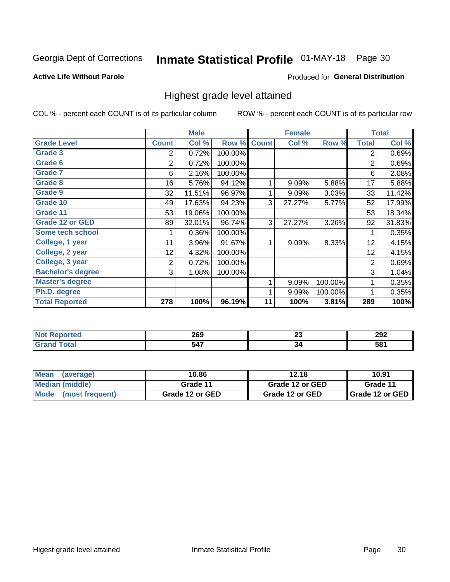## Inmate Statistical Profile 01-MAY-18 Page 30

### **Active Life Without Parole**

### Produced for General Distribution

## Highest grade level attained

COL % - percent each COUNT is of its particular column

|                          |                | <b>Male</b> |         |              | <b>Female</b> |         |                | <b>Total</b> |
|--------------------------|----------------|-------------|---------|--------------|---------------|---------|----------------|--------------|
| <b>Grade Level</b>       | <b>Count</b>   | Col %       | Row %   | <b>Count</b> | Col %         | Row %   | <b>Total</b>   | Col %        |
| Grade 3                  | 2              | 0.72%       | 100.00% |              |               |         | 2              | 0.69%        |
| Grade 6                  | 2              | 0.72%       | 100.00% |              |               |         | $\overline{2}$ | 0.69%        |
| <b>Grade 7</b>           | 6              | 2.16%       | 100.00% |              |               |         | 6              | 2.08%        |
| Grade 8                  | 16             | 5.76%       | 94.12%  | 1            | 9.09%         | 5.88%   | 17             | 5.88%        |
| Grade 9                  | 32             | 11.51%      | 96.97%  | 1            | 9.09%         | 3.03%   | 33             | 11.42%       |
| Grade 10                 | 49             | 17.63%      | 94.23%  | 3            | 27.27%        | 5.77%   | 52             | 17.99%       |
| Grade 11                 | 53             | 19.06%      | 100.00% |              |               |         | 53             | 18.34%       |
| <b>Grade 12 or GED</b>   | 89             | 32.01%      | 96.74%  | 3            | 27.27%        | 3.26%   | 92             | 31.83%       |
| Some tech school         |                | 0.36%       | 100.00% |              |               |         | 1              | 0.35%        |
| College, 1 year          | 11             | 3.96%       | 91.67%  | 1            | 9.09%         | 8.33%   | 12             | 4.15%        |
| College, 2 year          | 12             | 4.32%       | 100.00% |              |               |         | 12             | 4.15%        |
| College, 3 year          | $\overline{2}$ | 0.72%       | 100.00% |              |               |         | $\overline{2}$ | 0.69%        |
| <b>Bachelor's degree</b> | 3              | 1.08%       | 100.00% |              |               |         | 3              | 1.04%        |
| <b>Master's degree</b>   |                |             |         | 1            | 9.09%         | 100.00% | 1              | 0.35%        |
| Ph.D. degree             |                |             |         | 1            | 9.09%         | 100.00% | 1              | 0.35%        |
| <b>Total Reported</b>    | 278            | 100%        | 96.19%  | 11           | 100%          | 3.81%   | 289            | 100%         |

|      | חממ<br>ZUJ<br>__ | - -<br>$\sim$ | ∂∩י<br>ZJZ |
|------|------------------|---------------|------------|
| ---- | 37<br>.<br>$ -$  | ءد.<br>$\sim$ | 581        |

| Mean<br>(average)              | 10.86           | 12.18           | 10.91             |
|--------------------------------|-----------------|-----------------|-------------------|
| Median (middle)                | Grade 11        | Grade 12 or GED | Grade 11          |
| <b>Mode</b><br>(most frequent) | Grade 12 or GED | Grade 12 or GED | I Grade 12 or GED |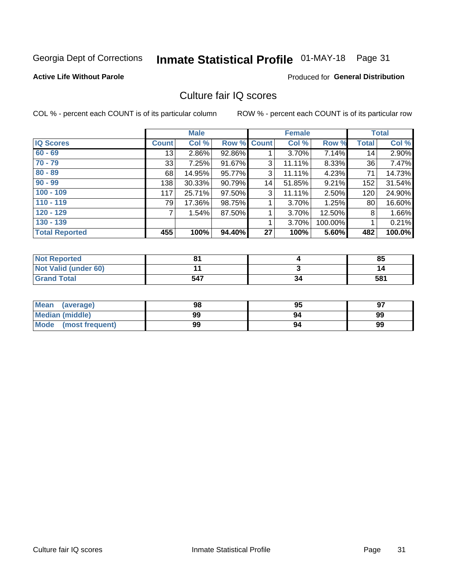## Inmate Statistical Profile 01-MAY-18 Page 31

### **Active Life Without Parole**

## **Produced for General Distribution**

## Culture fair IQ scores

COL % - percent each COUNT is of its particular column

|                       |              | <b>Male</b> |        |             | <b>Female</b> |         |              | <b>Total</b> |
|-----------------------|--------------|-------------|--------|-------------|---------------|---------|--------------|--------------|
| <b>IQ Scores</b>      | <b>Count</b> | Col %       |        | Row % Count | Col %         | Row %   | <b>Total</b> | Col %        |
| $60 - 69$             | 13           | $2.86\%$    | 92.86% |             | $3.70\%$      | 7.14%   | 14           | 2.90%        |
| $70 - 79$             | 33           | 7.25%       | 91.67% | 3           | 11.11%        | 8.33%   | 36           | 7.47%        |
| $80 - 89$             | 68           | 14.95%      | 95.77% | 3           | 11.11%        | 4.23%   | 71           | 14.73%       |
| $90 - 99$             | 138          | $30.33\%$   | 90.79% | 14          | 51.85%        | 9.21%   | 152          | 31.54%       |
| $100 - 109$           | 117          | 25.71%      | 97.50% | 3           | 11.11%        | 2.50%   | 120          | 24.90%       |
| $110 - 119$           | 79           | 17.36%      | 98.75% |             | 3.70%         | 1.25%   | 80           | 16.60%       |
| $120 - 129$           | 7            | 1.54%       | 87.50% |             | 3.70%         | 12.50%  | 8            | 1.66%        |
| $130 - 139$           |              |             |        | 1           | 3.70%         | 100.00% |              | 0.21%        |
| <b>Total Reported</b> | 455          | 100%        | 94.40% | 27          | 100%          | 5.60%   | 482          | 100.0%       |

| <b>Not Reported</b>  | o۸  |    | 85  |
|----------------------|-----|----|-----|
| Not Valid (under 60) |     |    |     |
| <b>Grand Total</b>   | 547 | 34 | 581 |

| Mean<br>(average)       | 98 | 95 | 97 |
|-------------------------|----|----|----|
| <b>Median (middle)</b>  | 99 |    | 99 |
| Mode<br>(most frequent) | 99 | 94 | 99 |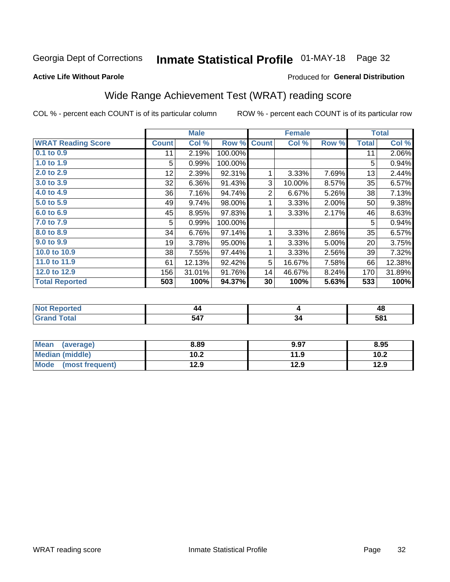## Inmate Statistical Profile 01-MAY-18 Page 32

### **Active Life Without Parole**

## **Produced for General Distribution**

## Wide Range Achievement Test (WRAT) reading score

COL % - percent each COUNT is of its particular column

|                           |              | <b>Male</b> |         |              | <b>Female</b> |       |              | <b>Total</b> |
|---------------------------|--------------|-------------|---------|--------------|---------------|-------|--------------|--------------|
| <b>WRAT Reading Score</b> | <b>Count</b> | Col %       | Row %   | <b>Count</b> | Col %         | Row % | <b>Total</b> | Col %        |
| $0.1$ to $0.9$            | 11           | 2.19%       | 100.00% |              |               |       | 11           | 2.06%        |
| 1.0 to 1.9                | 5            | 0.99%       | 100.00% |              |               |       | 5            | 0.94%        |
| 2.0 to 2.9                | 12           | 2.39%       | 92.31%  |              | 3.33%         | 7.69% | 13           | 2.44%        |
| 3.0 to 3.9                | 32           | 6.36%       | 91.43%  | 3            | 10.00%        | 8.57% | 35           | 6.57%        |
| 4.0 to 4.9                | 36           | 7.16%       | 94.74%  | 2            | 6.67%         | 5.26% | 38           | 7.13%        |
| 5.0 to 5.9                | 49           | 9.74%       | 98.00%  |              | 3.33%         | 2.00% | 50           | 9.38%        |
| 6.0 to 6.9                | 45           | 8.95%       | 97.83%  |              | 3.33%         | 2.17% | 46           | 8.63%        |
| 7.0 to 7.9                | 5            | 0.99%       | 100.00% |              |               |       | 5            | 0.94%        |
| 8.0 to 8.9                | 34           | 6.76%       | 97.14%  | 1            | 3.33%         | 2.86% | 35           | 6.57%        |
| 9.0 to 9.9                | 19           | 3.78%       | 95.00%  |              | 3.33%         | 5.00% | 20           | 3.75%        |
| 10.0 to 10.9              | 38           | 7.55%       | 97.44%  | 1            | 3.33%         | 2.56% | 39           | 7.32%        |
| 11.0 to 11.9              | 61           | 12.13%      | 92.42%  | 5            | 16.67%        | 7.58% | 66           | 12.38%       |
| 12.0 to 12.9              | 156          | 31.01%      | 91.76%  | 14           | 46.67%        | 8.24% | 170          | 31.89%       |
| <b>Total Reported</b>     | 503          | 100%        | 94.37%  | 30           | 100%          | 5.63% | 533          | 100%         |

|        |            |     | 4C |
|--------|------------|-----|----|
| $\sim$ | -47<br>, , | ءد. | 58 |

| <b>Mean</b><br>(average) | 8.89 | 9.97 | 8.95 |
|--------------------------|------|------|------|
| Median (middle)          | 10.2 | 11.9 | 10.2 |
| Mode<br>(most frequent)  | 12.9 | 12.9 | 12.9 |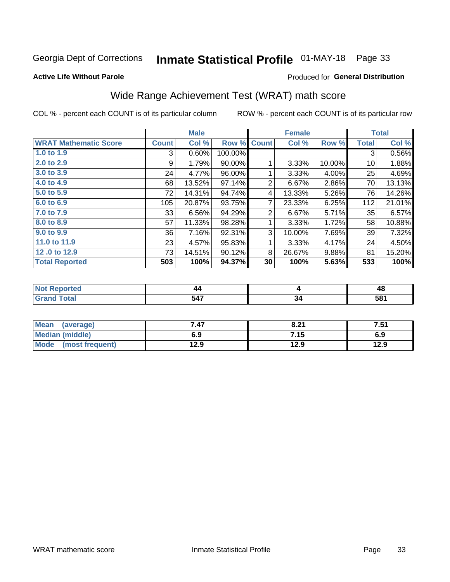## Inmate Statistical Profile 01-MAY-18 Page 33

### **Active Life Without Parole**

## **Produced for General Distribution**

## Wide Range Achievement Test (WRAT) math score

COL % - percent each COUNT is of its particular column

|                              |              | <b>Male</b> |         |              | <b>Female</b> |          |              | <b>Total</b> |
|------------------------------|--------------|-------------|---------|--------------|---------------|----------|--------------|--------------|
| <b>WRAT Mathematic Score</b> | <b>Count</b> | Col %       | Row %   | <b>Count</b> | Col %         | Row %    | <b>Total</b> | Col %        |
| 1.0 to 1.9                   | 3            | 0.60%       | 100.00% |              |               |          | 3            | 0.56%        |
| 2.0 to 2.9                   | 9            | 1.79%       | 90.00%  |              | 3.33%         | 10.00%   | 10           | 1.88%        |
| 3.0 to 3.9                   | 24           | 4.77%       | 96.00%  |              | 3.33%         | $4.00\%$ | 25           | 4.69%        |
| 4.0 to 4.9                   | 68           | 13.52%      | 97.14%  | 2            | 6.67%         | 2.86%    | 70           | 13.13%       |
| 5.0 to 5.9                   | 72           | 14.31%      | 94.74%  | 4            | 13.33%        | 5.26%    | 76           | 14.26%       |
| 6.0 to 6.9                   | 105          | 20.87%      | 93.75%  | 7            | 23.33%        | 6.25%    | 112          | 21.01%       |
| 7.0 to 7.9                   | 33           | 6.56%       | 94.29%  | 2            | 6.67%         | $5.71\%$ | 35           | 6.57%        |
| 8.0 to 8.9                   | 57           | 11.33%      | 98.28%  | 1            | 3.33%         | 1.72%    | 58           | 10.88%       |
| 9.0 to 9.9                   | 36           | 7.16%       | 92.31%  | 3            | 10.00%        | 7.69%    | 39           | 7.32%        |
| 11.0 to 11.9                 | 23           | 4.57%       | 95.83%  |              | 3.33%         | 4.17%    | 24           | 4.50%        |
| 12.0 to 12.9                 | 73           | 14.51%      | 90.12%  | 8            | 26.67%        | 9.88%    | 81           | 15.20%       |
| <b>Total Reported</b>        | 503          | 100%        | 94.37%  | 30           | 100%          | 5.63%    | 533          | 100%         |

| w   | 44              |    | л,        |
|-----|-----------------|----|-----------|
| тео |                 |    | −~        |
|     | $\Delta$ 7<br>╍ | ىي | τo,<br>၁၀ |

| <b>Mean</b><br>(average) | 7.47 | 8.21 | 7.51 |
|--------------------------|------|------|------|
| <b>Median (middle)</b>   | 6.9  | 7.15 | 6.9  |
| Mode<br>(most frequent)  | 12.9 | 12.9 | 12.9 |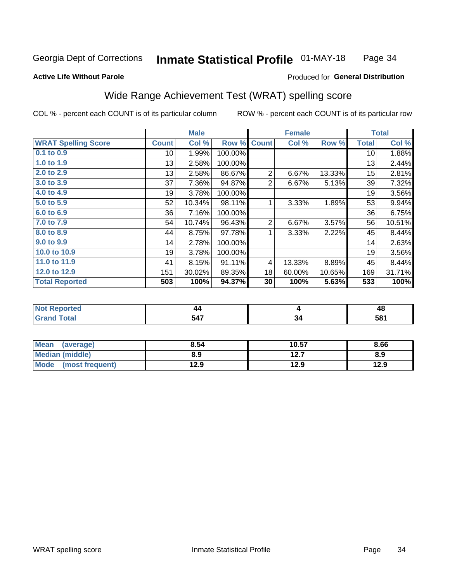#### **Inmate Statistical Profile 01-MAY-18** Page 34

### **Active Life Without Parole**

### Produced for General Distribution

## Wide Range Achievement Test (WRAT) spelling score

COL % - percent each COUNT is of its particular column

|                            |                 | <b>Male</b> |         |              | <b>Female</b> |        |              | <b>Total</b> |
|----------------------------|-----------------|-------------|---------|--------------|---------------|--------|--------------|--------------|
| <b>WRAT Spelling Score</b> | <b>Count</b>    | Col %       | Row %   | <b>Count</b> | Col %         | Row %  | <b>Total</b> | Col %        |
| 0.1 to 0.9                 | 10 <sup>1</sup> | 1.99%       | 100.00% |              |               |        | 10           | 1.88%        |
| 1.0 to 1.9                 | 13              | 2.58%       | 100.00% |              |               |        | 13           | 2.44%        |
| 2.0 to 2.9                 | 13              | 2.58%       | 86.67%  | 2            | 6.67%         | 13.33% | 15           | 2.81%        |
| 3.0 to 3.9                 | 37              | 7.36%       | 94.87%  | 2            | 6.67%         | 5.13%  | 39           | 7.32%        |
| 4.0 to 4.9                 | 19              | 3.78%       | 100.00% |              |               |        | 19           | 3.56%        |
| 5.0 to 5.9                 | 52              | 10.34%      | 98.11%  | 1            | 3.33%         | 1.89%  | 53           | 9.94%        |
| 6.0 to 6.9                 | 36              | 7.16%       | 100.00% |              |               |        | 36           | 6.75%        |
| 7.0 to 7.9                 | 54              | 10.74%      | 96.43%  | 2            | 6.67%         | 3.57%  | 56           | 10.51%       |
| 8.0 to 8.9                 | 44              | 8.75%       | 97.78%  | 1            | 3.33%         | 2.22%  | 45           | 8.44%        |
| 9.0 to 9.9                 | 14              | 2.78%       | 100.00% |              |               |        | 14           | 2.63%        |
| 10.0 to 10.9               | 19              | 3.78%       | 100.00% |              |               |        | 19           | 3.56%        |
| 11.0 to 11.9               | 41              | 8.15%       | 91.11%  | 4            | 13.33%        | 8.89%  | 45           | 8.44%        |
| 12.0 to 12.9               | 151             | 30.02%      | 89.35%  | 18           | 60.00%        | 10.65% | 169          | 31.71%       |
| <b>Total Reported</b>      | 503             | 100%        | 94.37%  | 30           | 100%          | 5.63%  | 533          | 100%         |

| ге с | 44               |    | 4C              |
|------|------------------|----|-----------------|
|      | E 17<br>м<br>v-1 | יכ | 58 <sup>°</sup> |

| <b>Mean</b><br>(average) | 8.54 | 10.57 | 8.66 |
|--------------------------|------|-------|------|
| Median (middle)          | 8.9  | 12.7  | 8.9  |
| Mode (most frequent)     | 12.9 | 12.9  | 12.9 |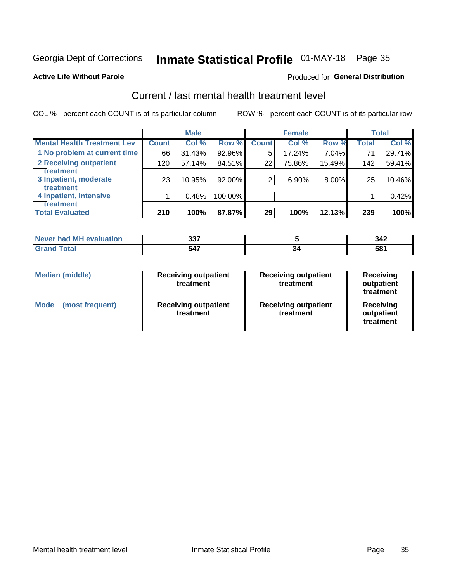## Inmate Statistical Profile 01-MAY-18 Page 35

### **Active Life Without Parole**

## **Produced for General Distribution**

## Current / last mental health treatment level

COL % - percent each COUNT is of its particular column

|                                    |              | <b>Male</b> |           |              | <b>Female</b> |        |              | <b>Total</b> |
|------------------------------------|--------------|-------------|-----------|--------------|---------------|--------|--------------|--------------|
| <b>Mental Health Treatment Lev</b> | <b>Count</b> | Col %       | Row %     | <b>Count</b> | Col%          | Row %  | <b>Total</b> | Col %        |
| 1 No problem at current time       | 66           | 31.43%      | 92.96%    | 5            | 17.24%        | 7.04%  | 71           | 29.71%       |
| 2 Receiving outpatient             | 120          | 57.14%      | 84.51%    | 22           | 75.86%        | 15.49% | 142          | 59.41%       |
| <b>Treatment</b>                   |              |             |           |              |               |        |              |              |
| 3 Inpatient, moderate              | 23           | 10.95%      | $92.00\%$ | 2            | 6.90%         | 8.00%  | 25           | 10.46%       |
| <b>Treatment</b>                   |              |             |           |              |               |        |              |              |
| 4 Inpatient, intensive             |              | 0.48%       | 100.00%   |              |               |        |              | 0.42%        |
| <b>Treatment</b>                   |              |             |           |              |               |        |              |              |
| <b>Total Evaluated</b>             | 210          | 100%        | 87.87%    | 29           | 100%          | 12.13% | 239          | 100%         |

| Never had MH evaluation | へへっ<br>JJ. | 342 |
|-------------------------|------------|-----|
|                         | 547        | 58  |

| <b>Median (middle)</b>         | <b>Receiving outpatient</b><br>treatment | <b>Receiving outpatient</b><br>treatment | <b>Receiving</b><br>outpatient<br>treatment |  |
|--------------------------------|------------------------------------------|------------------------------------------|---------------------------------------------|--|
| <b>Mode</b><br>(most frequent) | <b>Receiving outpatient</b><br>treatment | <b>Receiving outpatient</b><br>treatment | <b>Receiving</b><br>outpatient<br>treatment |  |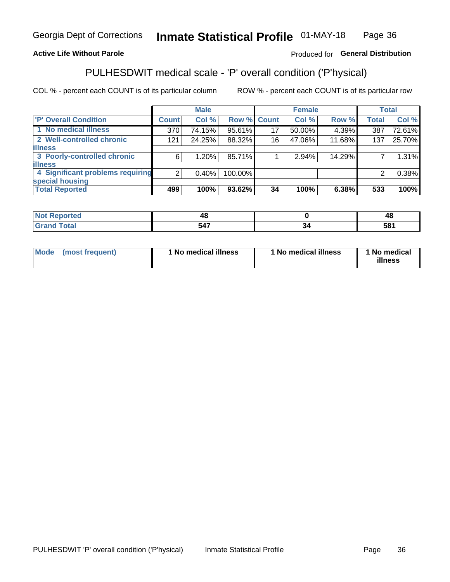#### Inmate Statistical Profile 01-MAY-18 Page 36

## **Active Life Without Parole**

## Produced for General Distribution

## PULHESDWIT medical scale - 'P' overall condition ('P'hysical)

COL % - percent each COUNT is of its particular column

|                                  |         | <b>Male</b> |             |    | <b>Female</b> |        |              | <b>Total</b> |
|----------------------------------|---------|-------------|-------------|----|---------------|--------|--------------|--------------|
| 'P' Overall Condition            | Count l | Col %       | Row % Count |    | Col %         | Row %  | <b>Total</b> | Col %        |
| 1 No medical illness             | 370     | 74.15%      | 95.61%      | 17 | 50.00%        | 4.39%  | 387          | 72.61%       |
| 2 Well-controlled chronic        | 121     | 24.25%      | 88.32%      | 16 | 47.06%        | 11.68% | 137          | 25.70%       |
| <b>illness</b>                   |         |             |             |    |               |        |              |              |
| 3 Poorly-controlled chronic      | 6       | 1.20%       | 85.71%      |    | 2.94%         | 14.29% |              | 1.31%        |
| <b>illness</b>                   |         |             |             |    |               |        |              |              |
| 4 Significant problems requiring | ົ       | $0.40\%$    | 100.00%     |    |               |        | 2            | 0.38%        |
| special housing                  |         |             |             |    |               |        |              |              |
| <b>Total Reported</b>            | 499     | 100%        | $93.62\%$   | 34 | 100%          | 6.38%  | 533          | 100%         |

| . a u | --                                       | $\mathbf{r}$<br>TU. |
|-------|------------------------------------------|---------------------|
| _____ | <b>STATISTICS</b><br>54<br>$\sim$ $\sim$ | $\tau$ 04           |

| <b>Mode</b> | (most frequent) | 1 No medical illness | 1 No medical illness | 1 No medical<br>illness |
|-------------|-----------------|----------------------|----------------------|-------------------------|
|-------------|-----------------|----------------------|----------------------|-------------------------|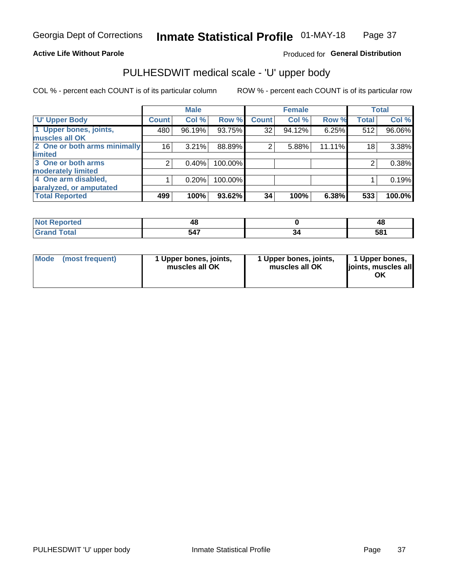## **Active Life Without Parole**

## Produced for General Distribution

## PULHESDWIT medical scale - 'U' upper body

COL % - percent each COUNT is of its particular column

|                              |                | <b>Male</b> |         |              | <b>Female</b> |        |              | <b>Total</b> |
|------------------------------|----------------|-------------|---------|--------------|---------------|--------|--------------|--------------|
| <b>U' Upper Body</b>         | <b>Count</b>   | Col %       | Row %   | <b>Count</b> | Col %         | Row %  | <b>Total</b> | Col %        |
| 1 Upper bones, joints,       | 480            | 96.19%      | 93.75%  | 32           | 94.12%        | 6.25%  | 512          | 96.06%       |
| muscles all OK               |                |             |         |              |               |        |              |              |
| 2 One or both arms minimally | 16             | 3.21%       | 88.89%  | 2            | 5.88%         | 11.11% | 18           | 3.38%        |
| limited                      |                |             |         |              |               |        |              |              |
| 3 One or both arms           | $\overline{2}$ | 0.40%       | 100.00% |              |               |        | 2            | 0.38%        |
| <b>moderately limited</b>    |                |             |         |              |               |        |              |              |
| 4 One arm disabled,          |                | 0.20%       | 100.00% |              |               |        |              | 0.19%        |
| paralyzed, or amputated      |                |             |         |              |               |        |              |              |
| <b>Total Reported</b>        | 499            | 100%        | 93.62%  | 34           | 100%          | 6.38%  | 533          | 100.0%       |

| <b>Not Reported</b>      |     | 40  |
|--------------------------|-----|-----|
| <b>Total</b><br>ا الله ا | 547 | 581 |

| <b>Mode</b> | (most frequent) | l Upper bones, joints,<br>muscles all OK | 1 Upper bones, joints,<br>muscles all OK | 1 Upper bones,<br>ljoints, muscles all |
|-------------|-----------------|------------------------------------------|------------------------------------------|----------------------------------------|
|-------------|-----------------|------------------------------------------|------------------------------------------|----------------------------------------|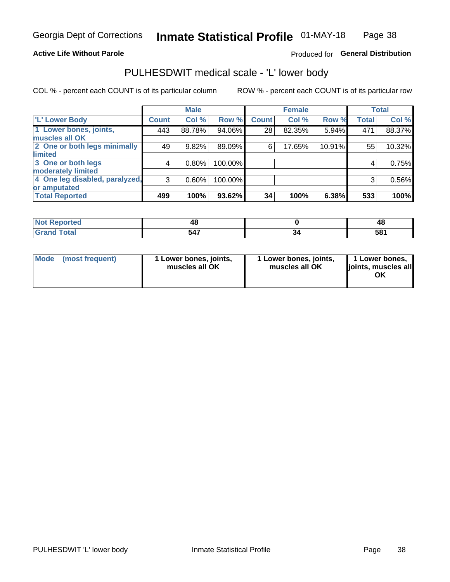## **Active Life Without Parole**

## Produced for General Distribution

## PULHESDWIT medical scale - 'L' lower body

COL % - percent each COUNT is of its particular column

|                                |              | <b>Male</b> |         |              | <b>Female</b> |        |              | <b>Total</b> |
|--------------------------------|--------------|-------------|---------|--------------|---------------|--------|--------------|--------------|
| 'L' Lower Body                 | <b>Count</b> | Col %       | Row %   | <b>Count</b> | Col %         | Row %  | <b>Total</b> | Col %        |
| 1 Lower bones, joints,         | 443          | 88.78%      | 94.06%  | 28           | 82.35%        | 5.94%  | 471          | 88.37%       |
| muscles all OK                 |              |             |         |              |               |        |              |              |
| 2 One or both legs minimally   | 49           | 9.82%       | 89.09%  | 6            | 17.65%        | 10.91% | 55           | 10.32%       |
| limited                        |              |             |         |              |               |        |              |              |
| 3 One or both legs             | 4            | $0.80\%$    | 100.00% |              |               |        | 4            | 0.75%        |
| moderately limited             |              |             |         |              |               |        |              |              |
| 4 One leg disabled, paralyzed, | 3            | 0.60%       | 100.00% |              |               |        | 3            | 0.56%        |
| or amputated                   |              |             |         |              |               |        |              |              |
| <b>Total Reported</b>          | 499          | 100%        | 93.62%  | 34           | 100%          | 6.38%  | 533          | 100%         |

| <b>Not Reported</b>    |     | т.  |
|------------------------|-----|-----|
| <b>Total</b><br>------ | 547 | 581 |

|  | Mode (most frequent) | 1 Lower bones, joints,<br>muscles all OK | 1 Lower bones, joints,<br>muscles all OK | 1 Lower bones,<br>joints, muscles all<br>ΟK |
|--|----------------------|------------------------------------------|------------------------------------------|---------------------------------------------|
|--|----------------------|------------------------------------------|------------------------------------------|---------------------------------------------|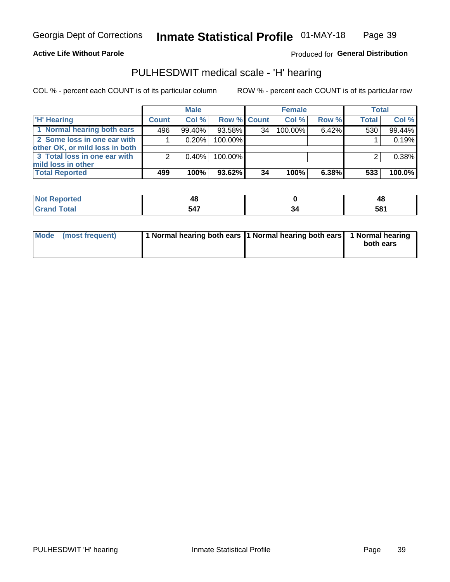### **Active Life Without Parole**

Produced for General Distribution

## PULHESDWIT medical scale - 'H' hearing

COL % - percent each COUNT is of its particular column

|                                                               |              | <b>Male</b> |             |                 | <b>Female</b> |       | <b>Total</b> |        |
|---------------------------------------------------------------|--------------|-------------|-------------|-----------------|---------------|-------|--------------|--------|
| <b>H'</b> Hearing                                             | <b>Count</b> | Col%        | Row % Count |                 | Col%          | Row % | <b>Total</b> | Col %  |
| 1 Normal hearing both ears                                    | 496          | 99.40%      | 93.58%      | 34              | 100.00%       | 6.42% | 530          | 99.44% |
| 2 Some loss in one ear with<br>other OK, or mild loss in both |              | 0.20%       | 100.00%     |                 |               |       |              | 0.19%  |
| 3 Total loss in one ear with<br>mild loss in other            | 2            | $0.40\%$    | 100.00%     |                 |               |       |              | 0.38%  |
| <b>Total Reported</b>                                         | 499          | 100%        | 93.62%      | 34 <sub>1</sub> | 100%          | 6.38% | 533          | 100.0% |

| <b>Reported</b><br><b>NOT</b> |    | лs<br>т. |
|-------------------------------|----|----------|
| <b>fotal</b>                  | 17 | 581      |

| Mode (most frequent) | 1 Normal hearing both ears 1 Normal hearing both ears 1 Normal hearing | both ears |
|----------------------|------------------------------------------------------------------------|-----------|
|                      |                                                                        |           |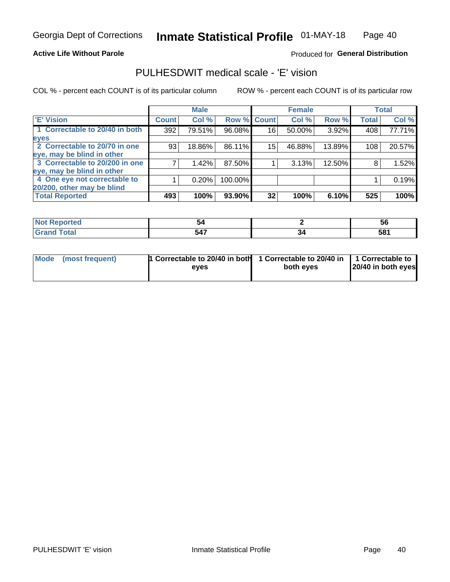### **Active Life Without Parole**

## Produced for General Distribution

## PULHESDWIT medical scale - 'E' vision

COL % - percent each COUNT is of its particular column

|                                |              | <b>Male</b> |             |    | <b>Female</b> |        |              | <b>Total</b> |
|--------------------------------|--------------|-------------|-------------|----|---------------|--------|--------------|--------------|
| <b>E' Vision</b>               | <b>Count</b> | Col %       | Row % Count |    | Col %         | Row %  | <b>Total</b> | Col %        |
| 1 Correctable to 20/40 in both | 392          | 79.51%      | 96.08%      | 16 | 50.00%        | 3.92%  | 408          | 77.71%       |
| eyes                           |              |             |             |    |               |        |              |              |
| 2 Correctable to 20/70 in one  | 93           | 18.86%      | 86.11%      | 15 | 46.88%        | 13.89% | 108          | 20.57%       |
| eye, may be blind in other     |              |             |             |    |               |        |              |              |
| 3 Correctable to 20/200 in one |              | $1.42\%$    | 87.50%      |    | 3.13%         | 12.50% | 8            | 1.52%        |
| eye, may be blind in other     |              |             |             |    |               |        |              |              |
| 4 One eye not correctable to   |              | 0.20%       | 100.00%     |    |               |        |              | 0.19%        |
| 20/200, other may be blind     |              |             |             |    |               |        |              |              |
| <b>Total Reported</b>          | 493          | 100%        | 93.90%      | 32 | 100%          | 6.10%  | 525          | 100%         |

| prtea<br><b>NOT REDO</b><br>. <b>.</b> | л.  |    | ວເ  |
|----------------------------------------|-----|----|-----|
| <b>Total</b>                           | 547 | ءت | 581 |

| Mode (most frequent) | <sup>1</sup> Correctable to 20/40 in both 1 Correctable to 20/40 in 1 Correctable to<br>eves | both eyes | 20/40 in both eyes |  |
|----------------------|----------------------------------------------------------------------------------------------|-----------|--------------------|--|
|                      |                                                                                              |           |                    |  |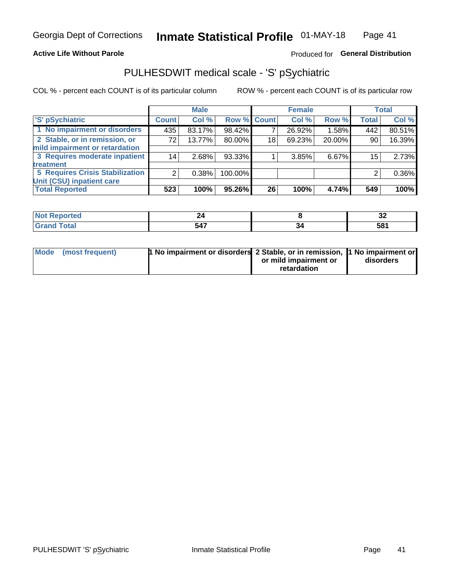## **Active Life Without Parole**

## Produced for General Distribution

## PULHESDWIT medical scale - 'S' pSychiatric

COL % - percent each COUNT is of its particular column

|                                        |                 | <b>Male</b> |             |    | <b>Female</b> |        |              | <b>Total</b> |
|----------------------------------------|-----------------|-------------|-------------|----|---------------|--------|--------------|--------------|
| 'S' pSychiatric                        | <b>Count</b>    | Col %       | Row % Count |    | Col %         | Row %  | <b>Total</b> | Col %        |
| 1 No impairment or disorders           | 435             | 83.17%      | 98.42%      |    | 26.92%        | 1.58%  | 442          | 80.51%       |
| 2 Stable, or in remission, or          | 72              | 13.77%      | 80.00%      | 18 | 69.23%        | 20.00% | 90           | 16.39%       |
| mild impairment or retardation         |                 |             |             |    |               |        |              |              |
| 3 Requires moderate inpatient          | 14 <sub>1</sub> | 2.68%       | 93.33%      |    | 3.85%         | 6.67%  | 15           | 2.73%        |
| treatment                              |                 |             |             |    |               |        |              |              |
| <b>5 Requires Crisis Stabilization</b> | ◠               | 0.38%       | 100.00%     |    |               |        | 2            | $0.36\%$     |
| Unit (CSU) inpatient care              |                 |             |             |    |               |        |              |              |
| <b>Total Reported</b>                  | 523             | 100%        | 95.26%      | 26 | 100%          | 4.74%  | 549          | 100%         |

| <br>- -       |    | . .<br>◡▵   |
|---------------|----|-------------|
| 547<br>$\sim$ | эc | 581<br>$ -$ |

| Mode (most frequent) | <sup>1</sup> No impairment or disorders 2 Stable, or in remission, <sup>1</sup> No impairment or |                       |           |
|----------------------|--------------------------------------------------------------------------------------------------|-----------------------|-----------|
|                      |                                                                                                  | or mild impairment or | disorders |
|                      |                                                                                                  | retardation           |           |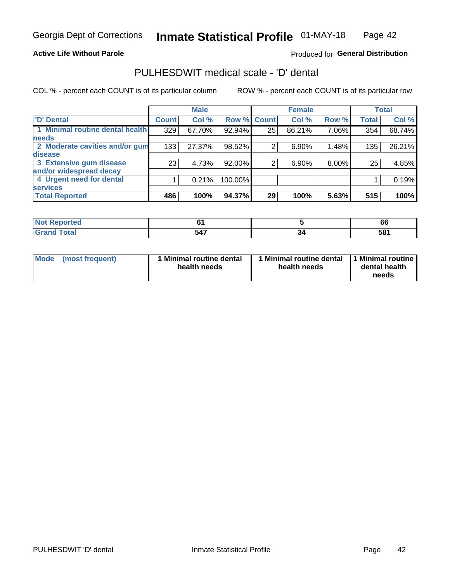## **Active Life Without Parole**

## Produced for General Distribution

## PULHESDWIT medical scale - 'D' dental

COL % - percent each COUNT is of its particular column

|                                 |                 | <b>Male</b> |         |              | <b>Female</b> |       |              | <b>Total</b> |
|---------------------------------|-----------------|-------------|---------|--------------|---------------|-------|--------------|--------------|
| <b>D'</b> Dental                | <b>Count</b>    | Col %       | Row %   | <b>Count</b> | Col %         | Row % | <b>Total</b> | Col %        |
| 1 Minimal routine dental health | 329             | 67.70%      | 92.94%  | 25           | 86.21%        | 7.06% | 354          | 68.74%       |
| <b>needs</b>                    |                 |             |         |              |               |       |              |              |
| 2 Moderate cavities and/or gum  | 133             | 27.37%      | 98.52%  | 2            | 6.90%         | 1.48% | 135          | 26.21%       |
| disease                         |                 |             |         |              |               |       |              |              |
| 3 Extensive gum disease         | 23 <sub>1</sub> | 4.73%       | 92.00%  | 2            | 6.90%         | 8.00% | 25           | 4.85%        |
| and/or widespread decay         |                 |             |         |              |               |       |              |              |
| 4 Urgent need for dental        |                 | 0.21%       | 100.00% |              |               |       |              | 0.19%        |
| <b>services</b>                 |                 |             |         |              |               |       |              |              |
| <b>Total Reported</b>           | 486             | 100%        | 94.37%  | 29           | 100%          | 5.63% | 515          | 100%         |

| المناسبة المسالة<br>orted<br><b>NOT REPO</b><br>$\cdots$ |     |    | 66  |
|----------------------------------------------------------|-----|----|-----|
| <b>Total</b>                                             | 547 | ءت | 581 |

| <b>Mode</b> | (most frequent) | <b>Minimal routine dental</b><br>health needs | 1 Minimal routine dental<br>health needs | <b>11 Minimal routine I</b><br>dental health<br>needs |
|-------------|-----------------|-----------------------------------------------|------------------------------------------|-------------------------------------------------------|
|-------------|-----------------|-----------------------------------------------|------------------------------------------|-------------------------------------------------------|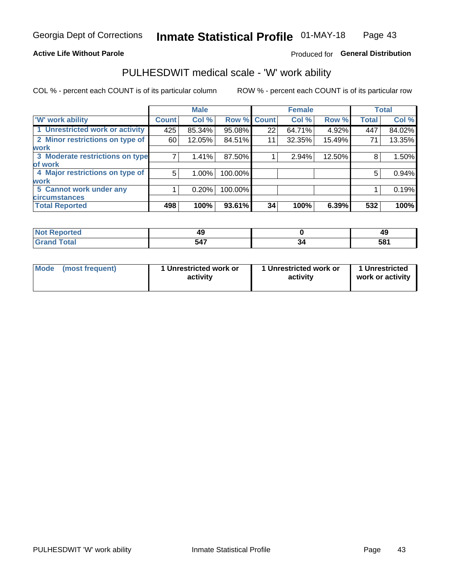### **Active Life Without Parole**

## Produced for General Distribution

## PULHESDWIT medical scale - 'W' work ability

COL % - percent each COUNT is of its particular column

|                                 |              | <b>Male</b> |         |             | <b>Female</b> |        |              | <b>Total</b> |
|---------------------------------|--------------|-------------|---------|-------------|---------------|--------|--------------|--------------|
| <b>W' work ability</b>          | <b>Count</b> | Col %       |         | Row % Count | Col %         | Row %  | <b>Total</b> | Col %        |
| 1 Unrestricted work or activity | 425          | 85.34%      | 95.08%  | 22          | 64.71%        | 4.92%  | 447          | 84.02%       |
| 2 Minor restrictions on type of | 60           | 12.05%      | 84.51%  | 11          | 32.35%        | 15.49% | 71           | 13.35%       |
| <b>work</b>                     |              |             |         |             |               |        |              |              |
| 3 Moderate restrictions on type |              | 1.41%       | 87.50%  |             | 2.94%         | 12.50% | 8            | 1.50%        |
| lof work                        |              |             |         |             |               |        |              |              |
| 4 Major restrictions on type of | 5            | $1.00\%$    | 100.00% |             |               |        | 5            | 0.94%        |
| <b>work</b>                     |              |             |         |             |               |        |              |              |
| 5 Cannot work under any         |              | 0.20%       | 100.00% |             |               |        |              | 0.19%        |
| <b>circumstances</b>            |              |             |         |             |               |        |              |              |
| <b>Total Reported</b>           | 498          | 100%        | 93.61%  | 34          | 100%          | 6.39%  | 532          | 100%         |

| <b>Not Reported</b> | т.  |    | 49  |
|---------------------|-----|----|-----|
| <b>Grand Total</b>  | 547 | יכ | 581 |

| Mode (most frequent) | 1 Unrestricted work or | 1 Unrestricted work or | 1 Unrestricted   |
|----------------------|------------------------|------------------------|------------------|
|                      | activity               | activity               | work or activity |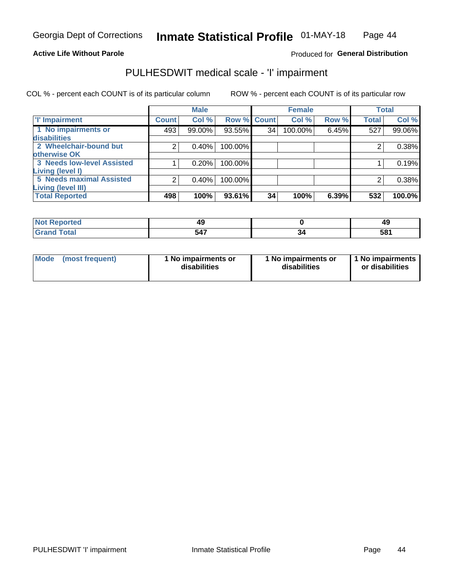### **Active Life Without Parole**

## Produced for General Distribution

## PULHESDWIT medical scale - 'I' impairment

COL % - percent each COUNT is of its particular column ROW % - percent each COUNT is of its particular row

|                                     |               | <b>Male</b> |                    |    | <b>Female</b> |       |              | <b>Total</b> |
|-------------------------------------|---------------|-------------|--------------------|----|---------------|-------|--------------|--------------|
| <b>T' Impairment</b>                | <b>Count!</b> | Col %       | <b>Row % Count</b> |    | Col %         | Row % | <b>Total</b> | Col %        |
| 1 No impairments or<br>disabilities | 493           | 99.00%      | 93.55%             | 34 | 100.00%       | 6.45% | 527          | 99.06%       |
| 2 Wheelchair-bound but              | 2             | 0.40%       | 100.00%            |    |               |       |              | 0.38%        |
| otherwise OK                        |               |             |                    |    |               |       |              |              |
| 3 Needs low-level Assisted          |               | 0.20%       | 100.00%            |    |               |       |              | 0.19%        |
| Living (level I)                    |               |             |                    |    |               |       |              |              |
| 5 Needs maximal Assisted            | 2             | 0.40%       | 100.00%            |    |               |       |              | 0.38%        |
| <b>Living (level III)</b>           |               |             |                    |    |               |       |              |              |
| <b>Total Reported</b>               | 498           | 100%        | 93.61%             | 34 | 100%          | 6.39% | 532          | 100.0%       |

| <b>Reported</b> | 49  | 49<br>$\sim$ |
|-----------------|-----|--------------|
| <b>Total</b>    | 547 | 581          |

| Mode | (most frequent) | 1 No impairments or<br>disabilities | 1 No impairments or<br>disabilities | 1 No impairments  <br>or disabilities |
|------|-----------------|-------------------------------------|-------------------------------------|---------------------------------------|
|------|-----------------|-------------------------------------|-------------------------------------|---------------------------------------|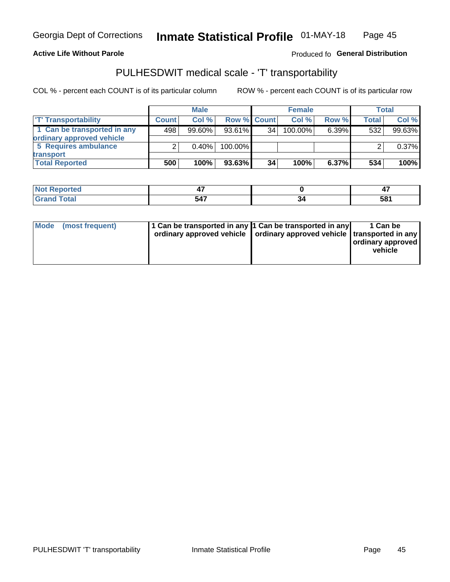### **Active Life Without Parole**

### Produced fo General Distribution

## PULHESDWIT medical scale - 'T' transportability

COL % - percent each COUNT is of its particular column

|                             | <b>Male</b>  |        |             | <b>Female</b> |            |          | Total        |        |
|-----------------------------|--------------|--------|-------------|---------------|------------|----------|--------------|--------|
| <b>T' Transportability</b>  | <b>Count</b> | Col%   | Row % Count |               | Col %      | Row %    | <b>Total</b> | Col %  |
| 1 Can be transported in any | 498          | 99.60% | $93.61\%$   | 34            | $100.00\%$ | $6.39\%$ | 532          | 99.63% |
| ordinary approved vehicle   |              |        |             |               |            |          |              |        |
| 5 Requires ambulance        |              | 0.40%  | 100.00%     |               |            |          |              | 0.37%  |
| transport                   |              |        |             |               |            |          |              |        |
| <b>Total Reported</b>       | 500          | 100%   | $93.63\%$   | 34            | 100%       | $6.37\%$ | 534          | 100%   |

| ' Reported<br>' NOL |     |    |     |
|---------------------|-----|----|-----|
| Total               | 547 | יכ | 581 |

|  | Mode (most frequent) | 1 Can be transported in any 1 Can be transported in any | ordinary approved vehicle   ordinary approved vehicle   transported in any | 1 Can be<br>  ordinary approved  <br>vehicle |
|--|----------------------|---------------------------------------------------------|----------------------------------------------------------------------------|----------------------------------------------|
|--|----------------------|---------------------------------------------------------|----------------------------------------------------------------------------|----------------------------------------------|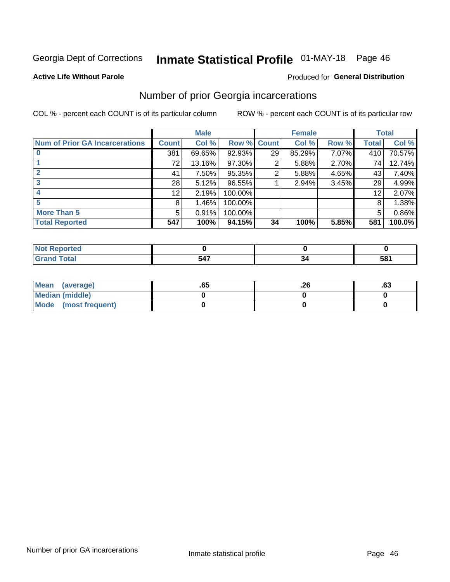## Inmate Statistical Profile 01-MAY-18 Page 46

### **Active Life Without Parole**

### Produced for General Distribution

## Number of prior Georgia incarcerations

COL % - percent each COUNT is of its particular column

|                                       |                 | <b>Male</b> |             |                 | <b>Female</b> |       |       | <b>Total</b> |
|---------------------------------------|-----------------|-------------|-------------|-----------------|---------------|-------|-------|--------------|
| <b>Num of Prior GA Incarcerations</b> | <b>Count</b>    | Col %       | Row % Count |                 | Col %         | Row % | Total | Col %        |
|                                       | 381             | 69.65%      | 92.93%      | 29 <sub>1</sub> | 85.29%        | 7.07% | 410   | 70.57%       |
|                                       | 72              | 13.16%      | 97.30%      | 2               | 5.88%         | 2.70% | 74    | 12.74%       |
|                                       | 41              | 7.50%       | 95.35%      | 2               | 5.88%         | 4.65% | 43    | 7.40%        |
|                                       | 28              | 5.12%       | 96.55%      |                 | 2.94%         | 3.45% | 29    | 4.99%        |
|                                       | 12 <sub>1</sub> | 2.19%       | 100.00%     |                 |               |       | 12    | 2.07%        |
| 5                                     | 8               | 1.46%       | 100.00%     |                 |               |       | 8     | 1.38%        |
| <b>More Than 5</b>                    | 5               | 0.91%       | 100.00%     |                 |               |       | 5     | $0.86\%$     |
| <b>Total Reported</b>                 | 547             | 100%        | 94.15%      | 34              | 100%          | 5.85% | 581   | 100.0%       |

| orted                           |   |                 |
|---------------------------------|---|-----------------|
| <b>otal</b><br>$\mathbf{v}$ and | . | 58 <sup>′</sup> |

| Mean (average)       | .65 | 0٤. | .ט |
|----------------------|-----|-----|----|
| Median (middle)      |     |     |    |
| Mode (most frequent) |     |     |    |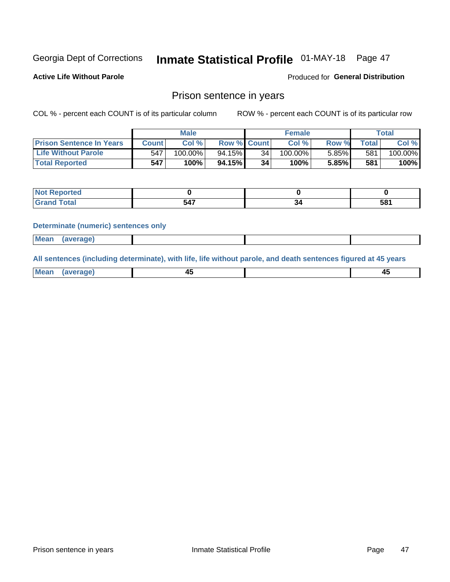## Inmate Statistical Profile 01-MAY-18 Page 47

**Active Life Without Parole** 

**Produced for General Distribution** 

## Prison sentence in years

COL % - percent each COUNT is of its particular column

ROW % - percent each COUNT is of its particular row

|                                 |         | <b>Male</b> |                    |    | <b>Female</b> |       |             | Total   |
|---------------------------------|---------|-------------|--------------------|----|---------------|-------|-------------|---------|
| <b>Prison Sentence In Years</b> | Count l | Col %       | <b>Row % Count</b> |    | Col %         | Row % | $\tau$ otal | Col %   |
| <b>Life Without Parole</b>      | 547     | $100.00\%$  | $94.15\%$          | 34 | 100.00%       | 5.85% | 581         | 100.00% |
| <b>Total Reported</b>           | 547     | 100%        | $94.15\%$          | 34 | 100%          | 5.85% | 581         | 100%    |

| portea<br>- 1946 |            |     |
|------------------|------------|-----|
|                  | .<br>- 74. | 581 |

### **Determinate (numeric) sentences only**

| Mean | (average) |  |  |
|------|-----------|--|--|
|      |           |  |  |

All sentences (including determinate), with life, life without parole, and death sentences figured at 45 years

| Me: |  |  |
|-----|--|--|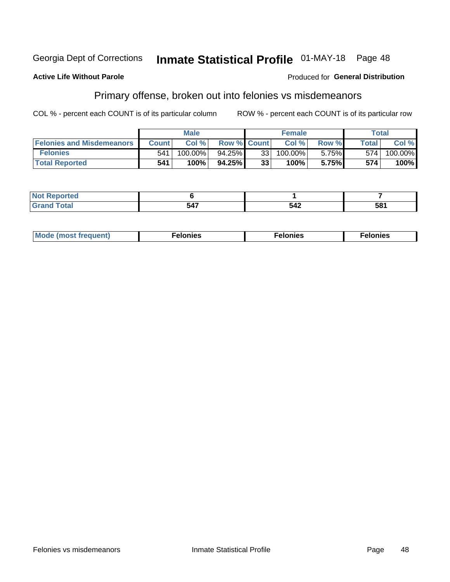#### Georgia Dept of Corrections Inmate Statistical Profile 01-MAY-18 Page 48

### **Active Life Without Parole**

## **Produced for General Distribution**

## Primary offense, broken out into felonies vs misdemeanors

COL % - percent each COUNT is of its particular column

|                                  |              | <b>Male</b> |                    |    | <b>Female</b> |          | Total        |         |
|----------------------------------|--------------|-------------|--------------------|----|---------------|----------|--------------|---------|
| <b>Felonies and Misdemeanors</b> | <b>Count</b> | Col $%$     | <b>Row % Count</b> |    | Col%          | Row %    | <b>Total</b> | Col %   |
| <b>Felonies</b>                  | 541          | 100.00%     | 94.25%             | 33 | 100.00%       | $5.75\%$ | 574          | 100.00% |
| <b>Total Reported</b>            | 541          | $100\%$     | 94.25%             | 33 | 100%          | 5.75%    | 574          | 100%    |

| <b>Not Reported</b>                      |                        |     |     |
|------------------------------------------|------------------------|-----|-----|
| <b>Total</b><br>Grand<br><b>UI 41 IV</b> | $\overline{a}$<br>-94. | 542 | 581 |

| <b>Mode</b><br>frequent)<br>nies<br>≧ (most tr.<br>. | onies<br>. | lonies<br>ею<br>____ |
|------------------------------------------------------|------------|----------------------|
|------------------------------------------------------|------------|----------------------|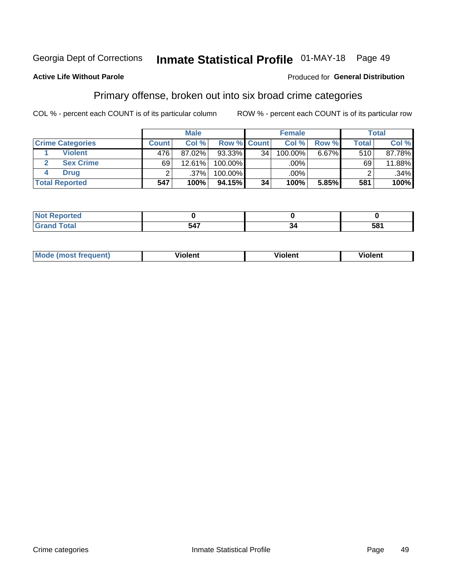#### Inmate Statistical Profile 01-MAY-18 Page 49 Georgia Dept of Corrections

### **Active Life Without Parole**

### Produced for General Distribution

## Primary offense, broken out into six broad crime categories

COL % - percent each COUNT is of its particular column

|                         |                  | <b>Male</b> |             |    | <b>Female</b> |          |              | <b>Total</b> |
|-------------------------|------------------|-------------|-------------|----|---------------|----------|--------------|--------------|
| <b>Crime Categories</b> | <b>Count</b>     | Col%        | Row % Count |    | Col %         | Row %    | <b>Total</b> | Col %        |
| <b>Violent</b>          | 476 <sup>1</sup> | 87.02%      | 93.33%      | 34 | 100.00%       | $6.67\%$ | 510          | 87.78%       |
| <b>Sex Crime</b>        | 69               | $12.61\%$   | 100.00%     |    | .00%          |          | 69           | 11.88%       |
| <b>Drug</b>             |                  | .37%        | 100.00%     |    | .00%          |          |              | $.34\%$      |
| <b>Total Reported</b>   | 547              | 100%        | 94.15%      | 34 | 100%          | 5.85%    | 581          | 100%         |

| ______ | - -- | --<br>. п.<br>ວດ<br>- - - |
|--------|------|---------------------------|

| <b>Mode (most frequent)</b> | .             |         | .     |
|-----------------------------|---------------|---------|-------|
|                             | <b>ïolent</b> | ∕iolent | ∍lent |
|                             |               |         |       |
|                             |               |         |       |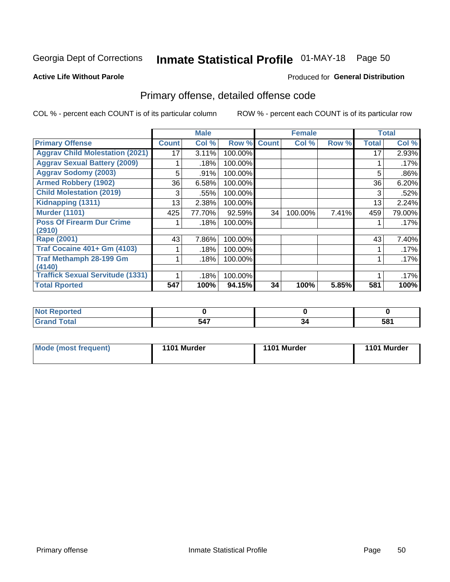## Inmate Statistical Profile 01-MAY-18 Page 50

### **Active Life Without Parole**

### Produced for General Distribution

## Primary offense, detailed offense code

COL % - percent each COUNT is of its particular column

|                                         |              | <b>Male</b> |         |              | <b>Female</b> |       |              | <b>Total</b> |
|-----------------------------------------|--------------|-------------|---------|--------------|---------------|-------|--------------|--------------|
| <b>Primary Offense</b>                  | <b>Count</b> | Col %       | Row %   | <b>Count</b> | Col %         | Row % | <b>Total</b> | Col %        |
| <b>Aggrav Child Molestation (2021)</b>  | 17           | 3.11%       | 100.00% |              |               |       | 17           | 2.93%        |
| <b>Aggrav Sexual Battery (2009)</b>     |              | .18%        | 100.00% |              |               |       |              | .17%         |
| <b>Aggrav Sodomy (2003)</b>             | 5            | .91%        | 100.00% |              |               |       | 5            | .86%         |
| <b>Armed Robbery (1902)</b>             | 36           | 6.58%       | 100.00% |              |               |       | 36           | 6.20%        |
| <b>Child Molestation (2019)</b>         | 3            | .55%        | 100.00% |              |               |       | 3            | .52%         |
| Kidnapping (1311)                       | 13           | 2.38%       | 100.00% |              |               |       | 13           | 2.24%        |
| <b>Murder (1101)</b>                    | 425          | 77.70%      | 92.59%  | 34           | 100.00%       | 7.41% | 459          | 79.00%       |
| <b>Poss Of Firearm Dur Crime</b>        |              | .18%        | 100.00% |              |               |       |              | .17%         |
| (2910)                                  |              |             |         |              |               |       |              |              |
| Rape (2001)                             | 43           | 7.86%       | 100.00% |              |               |       | 43           | 7.40%        |
| <b>Traf Cocaine 401+ Gm (4103)</b>      |              | .18%        | 100.00% |              |               |       |              | .17%         |
| <b>Traf Methamph 28-199 Gm</b>          |              | .18%        | 100.00% |              |               |       |              | .17%         |
| (4140)                                  |              |             |         |              |               |       |              |              |
| <b>Traffick Sexual Servitude (1331)</b> |              | .18%        | 100.00% |              |               |       |              | .17%         |
| <b>Total Rported</b>                    | 547          | 100%        | 94.15%  | 34           | 100%          | 5.85% | 581          | 100%         |

| . Reported<br><b>NOT</b><br>$\sim$ |      |    |           |
|------------------------------------|------|----|-----------|
| <b>cotal</b>                       | - -- | ъ. | 581<br>uw |

| <b>Mode (most frequent)</b> | 1101 Murder | 1101 Murder | 1101 Murder |
|-----------------------------|-------------|-------------|-------------|
|                             |             |             |             |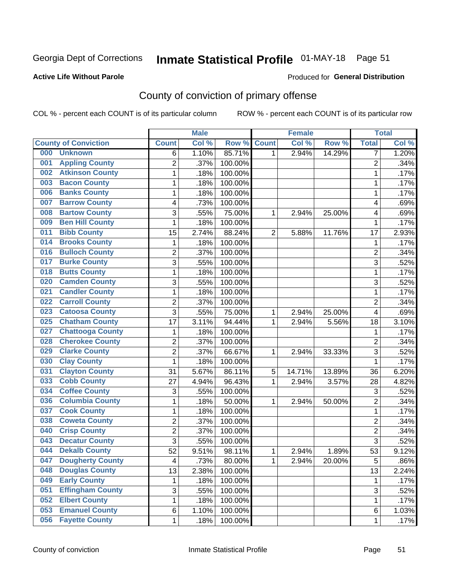## Inmate Statistical Profile 01-MAY-18 Page 51

### **Active Life Without Parole**

### Produced for General Distribution

## County of conviction of primary offense

COL % - percent each COUNT is of its particular column

|     |                             |                 | <b>Male</b> |         |                | <b>Female</b> |        |                | <b>Total</b> |
|-----|-----------------------------|-----------------|-------------|---------|----------------|---------------|--------|----------------|--------------|
|     | <b>County of Conviction</b> | <b>Count</b>    | Col%        | Row %   | <b>Count</b>   | Col %         | Row %  | <b>Total</b>   | Col %        |
| 000 | <b>Unknown</b>              | 6               | 1.10%       | 85.71%  | 1              | 2.94%         | 14.29% | $\overline{7}$ | 1.20%        |
| 001 | <b>Appling County</b>       | $\overline{2}$  | .37%        | 100.00% |                |               |        | $\overline{2}$ | .34%         |
| 002 | <b>Atkinson County</b>      | $\mathbf 1$     | .18%        | 100.00% |                |               |        | $\mathbf{1}$   | .17%         |
| 003 | <b>Bacon County</b>         | $\mathbf{1}$    | .18%        | 100.00% |                |               |        | 1              | .17%         |
| 006 | <b>Banks County</b>         | $\mathbf{1}$    | .18%        | 100.00% |                |               |        | 1              | .17%         |
| 007 | <b>Barrow County</b>        | 4               | .73%        | 100.00% |                |               |        | 4              | .69%         |
| 008 | <b>Bartow County</b>        | 3               | .55%        | 75.00%  | 1              | 2.94%         | 25.00% | 4              | .69%         |
| 009 | <b>Ben Hill County</b>      | $\mathbf{1}$    | .18%        | 100.00% |                |               |        | $\mathbf{1}$   | .17%         |
| 011 | <b>Bibb County</b>          | 15              | 2.74%       | 88.24%  | $\overline{2}$ | 5.88%         | 11.76% | 17             | 2.93%        |
| 014 | <b>Brooks County</b>        | $\mathbf{1}$    | .18%        | 100.00% |                |               |        | 1              | .17%         |
| 016 | <b>Bulloch County</b>       | $\overline{2}$  | .37%        | 100.00% |                |               |        | $\overline{2}$ | .34%         |
| 017 | <b>Burke County</b>         | 3               | .55%        | 100.00% |                |               |        | $\overline{3}$ | .52%         |
| 018 | <b>Butts County</b>         | 1               | .18%        | 100.00% |                |               |        | 1              | .17%         |
| 020 | <b>Camden County</b>        | 3               | .55%        | 100.00% |                |               |        | 3              | .52%         |
| 021 | <b>Candler County</b>       | $\mathbf 1$     | .18%        | 100.00% |                |               |        | $\mathbf{1}$   | .17%         |
| 022 | <b>Carroll County</b>       | $\overline{2}$  | .37%        | 100.00% |                |               |        | $\overline{2}$ | .34%         |
| 023 | <b>Catoosa County</b>       | 3               | .55%        | 75.00%  | 1              | 2.94%         | 25.00% | 4              | .69%         |
| 025 | <b>Chatham County</b>       | 17              | 3.11%       | 94.44%  | 1              | 2.94%         | 5.56%  | 18             | 3.10%        |
| 027 | <b>Chattooga County</b>     | 1               | .18%        | 100.00% |                |               |        | 1              | .17%         |
| 028 | <b>Cherokee County</b>      | $\overline{2}$  | .37%        | 100.00% |                |               |        | $\overline{c}$ | .34%         |
| 029 | <b>Clarke County</b>        | 2               | .37%        | 66.67%  | 1              | 2.94%         | 33.33% | 3              | .52%         |
| 030 | <b>Clay County</b>          | $\mathbf{1}$    | .18%        | 100.00% |                |               |        | $\mathbf{1}$   | .17%         |
| 031 | <b>Clayton County</b>       | 31              | 5.67%       | 86.11%  | 5              | 14.71%        | 13.89% | 36             | 6.20%        |
| 033 | <b>Cobb County</b>          | 27              | 4.94%       | 96.43%  | 1              | 2.94%         | 3.57%  | 28             | 4.82%        |
| 034 | <b>Coffee County</b>        | 3               | .55%        | 100.00% |                |               |        | 3              | .52%         |
| 036 | <b>Columbia County</b>      | 1               | .18%        | 50.00%  | 1              | 2.94%         | 50.00% | $\overline{2}$ | .34%         |
| 037 | <b>Cook County</b>          | $\mathbf 1$     | .18%        | 100.00% |                |               |        | $\mathbf 1$    | .17%         |
| 038 | <b>Coweta County</b>        | $\overline{2}$  | .37%        | 100.00% |                |               |        | $\overline{c}$ | .34%         |
| 040 | <b>Crisp County</b>         | 2               | .37%        | 100.00% |                |               |        | $\overline{2}$ | .34%         |
| 043 | <b>Decatur County</b>       | 3               | .55%        | 100.00% |                |               |        | $\overline{3}$ | .52%         |
| 044 | <b>Dekalb County</b>        | $\overline{52}$ | 9.51%       | 98.11%  | 1              | 2.94%         | 1.89%  | 53             | 9.12%        |
| 047 | <b>Dougherty County</b>     | 4               | .73%        | 80.00%  | 1              | 2.94%         | 20.00% | 5              | .86%         |
| 048 | <b>Douglas County</b>       | 13              | 2.38%       | 100.00% |                |               |        | 13             | 2.24%        |
| 049 | <b>Early County</b>         | 1               | .18%        | 100.00% |                |               |        | 1              | .17%         |
| 051 | <b>Effingham County</b>     | 3               | .55%        | 100.00% |                |               |        | $\overline{3}$ | .52%         |
| 052 | <b>Elbert County</b>        | 1               | .18%        | 100.00% |                |               |        | 1              | .17%         |
| 053 | <b>Emanuel County</b>       | 6               | 1.10%       | 100.00% |                |               |        | 6              | 1.03%        |
| 056 | <b>Fayette County</b>       | 1               | .18%        | 100.00% |                |               |        | $\mathbf 1$    | .17%         |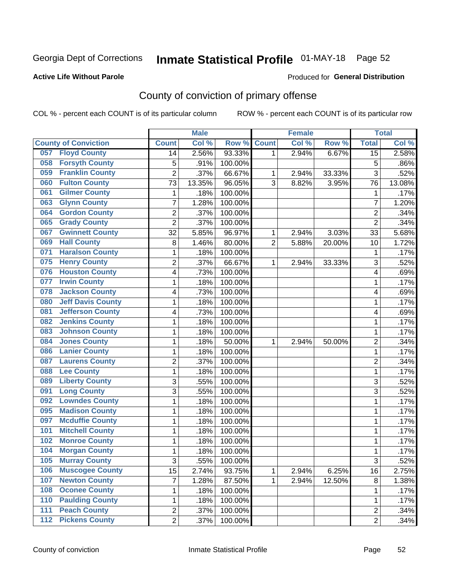## Inmate Statistical Profile 01-MAY-18 Page 52

### **Active Life Without Parole**

### Produced for General Distribution

## County of conviction of primary offense

COL % - percent each COUNT is of its particular column

|                                 |                | <b>Male</b> |         |                | <b>Female</b> |        |                         | <b>Total</b> |
|---------------------------------|----------------|-------------|---------|----------------|---------------|--------|-------------------------|--------------|
| <b>County of Conviction</b>     | <b>Count</b>   | Col %       | Row %   | <b>Count</b>   | Col %         | Row %  | <b>Total</b>            | Col %        |
| <b>Floyd County</b><br>057      | 14             | 2.56%       | 93.33%  | 1              | 2.94%         | 6.67%  | $\overline{15}$         | 2.58%        |
| <b>Forsyth County</b><br>058    | 5              | .91%        | 100.00% |                |               |        | 5                       | .86%         |
| <b>Franklin County</b><br>059   | $\overline{c}$ | .37%        | 66.67%  | 1              | 2.94%         | 33.33% | $\overline{3}$          | .52%         |
| <b>Fulton County</b><br>060     | 73             | 13.35%      | 96.05%  | 3              | 8.82%         | 3.95%  | 76                      | 13.08%       |
| <b>Gilmer County</b><br>061     | $\mathbf{1}$   | .18%        | 100.00% |                |               |        | $\mathbf{1}$            | .17%         |
| <b>Glynn County</b><br>063      | 7              | 1.28%       | 100.00% |                |               |        | $\overline{7}$          | 1.20%        |
| <b>Gordon County</b><br>064     | $\overline{c}$ | .37%        | 100.00% |                |               |        | $\overline{2}$          | .34%         |
| <b>Grady County</b><br>065      | $\overline{2}$ | .37%        | 100.00% |                |               |        | $\overline{2}$          | .34%         |
| <b>Gwinnett County</b><br>067   | 32             | 5.85%       | 96.97%  | 1              | 2.94%         | 3.03%  | 33                      | 5.68%        |
| <b>Hall County</b><br>069       | 8              | 1.46%       | 80.00%  | $\overline{2}$ | 5.88%         | 20.00% | 10                      | 1.72%        |
| <b>Haralson County</b><br>071   | 1              | .18%        | 100.00% |                |               |        | 1                       | .17%         |
| <b>Henry County</b><br>075      | $\overline{2}$ | .37%        | 66.67%  | 1              | 2.94%         | 33.33% | $\overline{3}$          | .52%         |
| <b>Houston County</b><br>076    | 4              | .73%        | 100.00% |                |               |        | $\overline{\mathbf{4}}$ | .69%         |
| <b>Irwin County</b><br>077      | 1              | .18%        | 100.00% |                |               |        | 1                       | .17%         |
| <b>Jackson County</b><br>078    | 4              | .73%        | 100.00% |                |               |        | 4                       | .69%         |
| <b>Jeff Davis County</b><br>080 | 1              | .18%        | 100.00% |                |               |        | 1                       | .17%         |
| <b>Jefferson County</b><br>081  | 4              | .73%        | 100.00% |                |               |        | 4                       | .69%         |
| <b>Jenkins County</b><br>082    | 1              | .18%        | 100.00% |                |               |        | 1                       | .17%         |
| <b>Johnson County</b><br>083    | 1              | .18%        | 100.00% |                |               |        | 1                       | .17%         |
| <b>Jones County</b><br>084      | 1              | .18%        | 50.00%  | 1              | 2.94%         | 50.00% | $\overline{2}$          | .34%         |
| <b>Lanier County</b><br>086     | 1              | .18%        | 100.00% |                |               |        | 1                       | .17%         |
| <b>Laurens County</b><br>087    | $\overline{c}$ | .37%        | 100.00% |                |               |        | $\overline{2}$          | .34%         |
| <b>Lee County</b><br>088        | 1              | .18%        | 100.00% |                |               |        | $\mathbf{1}$            | .17%         |
| <b>Liberty County</b><br>089    | $\overline{3}$ | .55%        | 100.00% |                |               |        | $\overline{3}$          | .52%         |
| <b>Long County</b><br>091       | 3              | .55%        | 100.00% |                |               |        | 3                       | .52%         |
| <b>Lowndes County</b><br>092    | 1              | .18%        | 100.00% |                |               |        | 1                       | .17%         |
| <b>Madison County</b><br>095    | 1              | .18%        | 100.00% |                |               |        | 1                       | .17%         |
| <b>Mcduffie County</b><br>097   | 1              | .18%        | 100.00% |                |               |        | 1                       | .17%         |
| <b>Mitchell County</b><br>101   | 1              | .18%        | 100.00% |                |               |        | 1                       | .17%         |
| <b>Monroe County</b><br>102     | 1              | .18%        | 100.00% |                |               |        | 1                       | .17%         |
| <b>Morgan County</b><br>104     | 1              | .18%        | 100.00% |                |               |        | 1                       | .17%         |
| 105<br><b>Murray County</b>     | 3              | .55%        | 100.00% |                |               |        | 3                       | .52%         |
| <b>Muscogee County</b><br>106   | 15             | 2.74%       | 93.75%  | $\mathbf{1}$   | 2.94%         | 6.25%  | 16                      | 2.75%        |
| <b>Newton County</b><br>107     | 7              | 1.28%       | 87.50%  | $\mathbf{1}$   | 2.94%         | 12.50% | $\bf 8$                 | 1.38%        |
| <b>Oconee County</b><br>108     | 1              | .18%        | 100.00% |                |               |        | 1                       | .17%         |
| 110<br><b>Paulding County</b>   | 1              | .18%        | 100.00% |                |               |        | 1                       | .17%         |
| <b>Peach County</b><br>111      | 2              | .37%        | 100.00% |                |               |        | $\overline{2}$          | .34%         |
| <b>Pickens County</b><br>112    | $\overline{2}$ | .37%        | 100.00% |                |               |        | $\overline{2}$          | .34%         |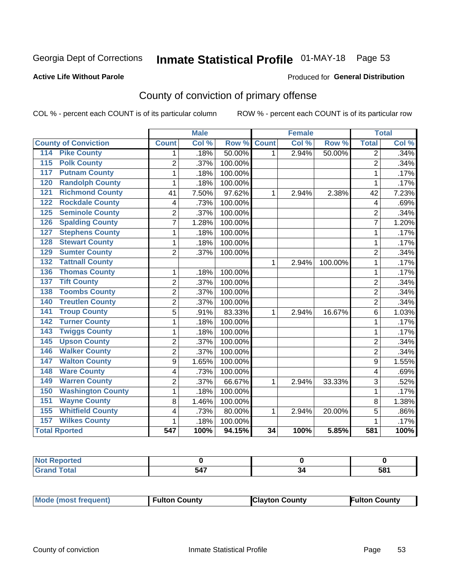## Inmate Statistical Profile 01-MAY-18 Page 53

### **Active Life Without Parole**

### Produced for General Distribution

## County of conviction of primary offense

COL % - percent each COUNT is of its particular column

|                                            |                  | <b>Male</b> |         |                 | <b>Female</b> |         |                 | <b>Total</b> |
|--------------------------------------------|------------------|-------------|---------|-----------------|---------------|---------|-----------------|--------------|
| <b>County of Conviction</b>                | <b>Count</b>     | Col %       | Row %   | <b>Count</b>    | Col %         | Row %   | <b>Total</b>    | Col %        |
| <b>Pike County</b><br>114                  | 1                | .18%        | 50.00%  | $\mathbf 1$     | 2.94%         | 50.00%  | 2               | .34%         |
| <b>Polk County</b><br>115                  | $\overline{2}$   | .37%        | 100.00% |                 |               |         | $\overline{2}$  | .34%         |
| <b>Putnam County</b><br>117                | 1                | .18%        | 100.00% |                 |               |         | $\mathbf 1$     | .17%         |
| <b>Randolph County</b><br>120              | 1                | .18%        | 100.00% |                 |               |         | 1               | .17%         |
| <b>Richmond County</b><br>121              | 41               | 7.50%       | 97.62%  | $\mathbf{1}$    | 2.94%         | 2.38%   | 42              | 7.23%        |
| <b>Rockdale County</b><br>122              | 4                | .73%        | 100.00% |                 |               |         | 4               | .69%         |
| <b>Seminole County</b><br>125              | $\overline{2}$   | .37%        | 100.00% |                 |               |         | $\overline{2}$  | .34%         |
| <b>Spalding County</b><br>126              | $\overline{7}$   | 1.28%       | 100.00% |                 |               |         | $\overline{7}$  | 1.20%        |
| <b>Stephens County</b><br>127              | 1                | .18%        | 100.00% |                 |               |         | 1               | .17%         |
| <b>Stewart County</b><br>128               | 1                | .18%        | 100.00% |                 |               |         | 1               | .17%         |
| <b>Sumter County</b><br>129                | $\overline{2}$   | .37%        | 100.00% |                 |               |         | $\overline{2}$  | .34%         |
| <b>Tattnall County</b><br>$\overline{132}$ |                  |             |         | 1               | 2.94%         | 100.00% | 1               | .17%         |
| <b>Thomas County</b><br>136                | 1                | .18%        | 100.00% |                 |               |         | $\mathbf{1}$    | .17%         |
| <b>Tift County</b><br>137                  | $\overline{2}$   | .37%        | 100.00% |                 |               |         | $\overline{2}$  | .34%         |
| <b>Toombs County</b><br>138                | $\overline{2}$   | .37%        | 100.00% |                 |               |         | $\overline{2}$  | .34%         |
| <b>Treutlen County</b><br>140              | $\overline{2}$   | .37%        | 100.00% |                 |               |         | $\overline{2}$  | .34%         |
| <b>Troup County</b><br>141                 | 5                | .91%        | 83.33%  | 1               | 2.94%         | 16.67%  | $6\phantom{1}6$ | 1.03%        |
| <b>Turner County</b><br>142                | 1                | .18%        | 100.00% |                 |               |         | $\mathbf{1}$    | .17%         |
| <b>Twiggs County</b><br>143                | 1                | .18%        | 100.00% |                 |               |         | 1               | .17%         |
| <b>Upson County</b><br>145                 | $\overline{2}$   | .37%        | 100.00% |                 |               |         | $\overline{2}$  | .34%         |
| <b>Walker County</b><br>146                | $\overline{2}$   | .37%        | 100.00% |                 |               |         | $\overline{2}$  | .34%         |
| <b>Walton County</b><br>147                | 9                | 1.65%       | 100.00% |                 |               |         | 9               | 1.55%        |
| <b>Ware County</b><br>148                  | 4                | .73%        | 100.00% |                 |               |         | 4               | .69%         |
| <b>Warren County</b><br>149                | $\overline{2}$   | .37%        | 66.67%  | 1               | 2.94%         | 33.33%  | 3               | .52%         |
| <b>Washington County</b><br>150            | 1                | .18%        | 100.00% |                 |               |         | 1               | .17%         |
| <b>Wayne County</b><br>151                 | 8                | 1.46%       | 100.00% |                 |               |         | 8               | 1.38%        |
| <b>Whitfield County</b><br>155             | 4                | .73%        | 80.00%  | 1               | 2.94%         | 20.00%  | 5               | .86%         |
| <b>Wilkes County</b><br>157                | $\mathbf 1$      | .18%        | 100.00% |                 |               |         | 1               | .17%         |
| <b>Total Rported</b>                       | $\overline{547}$ | 100%        | 94.15%  | $\overline{34}$ | 100%          | 5.85%   | 581             | 100%         |

| <b>Reported</b><br><b>NOT</b> |                                                  |           |     |
|-------------------------------|--------------------------------------------------|-----------|-----|
| <b>otal</b>                   | 547<br>$\sim$ $\sim$ $\sim$ $\sim$ $\sim$ $\sim$ | 34<br>- - | 581 |

|  | <b>Mode (most frequent)</b> | <b>Fulton County</b> | <b>Clayton County</b> | <b>Fulton County</b> |
|--|-----------------------------|----------------------|-----------------------|----------------------|
|--|-----------------------------|----------------------|-----------------------|----------------------|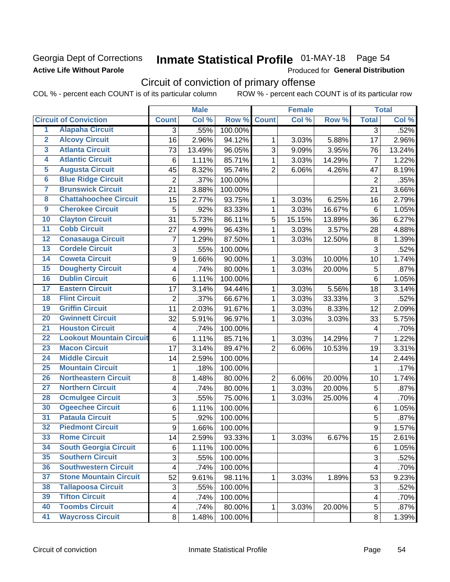## Georgia Dept of Corrections **Active Life Without Parole**

## Inmate Statistical Profile 01-MAY-18 Page 54

Produced for General Distribution

## Circuit of conviction of primary offense

COL % - percent each COUNT is of its particular column ROW % - percent each COUNT is of its particular row

|                         |                                 |                         | <b>Male</b> |         |                | <b>Female</b> |        |                 | <b>Total</b> |
|-------------------------|---------------------------------|-------------------------|-------------|---------|----------------|---------------|--------|-----------------|--------------|
|                         | <b>Circuit of Conviction</b>    | <b>Count</b>            | Col %       | Row %   | <b>Count</b>   | Col %         | Row %  | <b>Total</b>    | Col %        |
| 1                       | <b>Alapaha Circuit</b>          | 3                       | .55%        | 100.00% |                |               |        | 3               | .52%         |
| $\overline{2}$          | <b>Alcovy Circuit</b>           | 16                      | 2.96%       | 94.12%  | 1              | 3.03%         | 5.88%  | 17              | 2.96%        |
| $\overline{\mathbf{3}}$ | <b>Atlanta Circuit</b>          | 73                      | 13.49%      | 96.05%  | 3              | 9.09%         | 3.95%  | 76              | 13.24%       |
| 4                       | <b>Atlantic Circuit</b>         | 6                       | 1.11%       | 85.71%  | 1              | 3.03%         | 14.29% | $\overline{7}$  | 1.22%        |
| $\overline{5}$          | <b>Augusta Circuit</b>          | 45                      | 8.32%       | 95.74%  | $\overline{2}$ | 6.06%         | 4.26%  | 47              | 8.19%        |
| $\overline{\bf{6}}$     | <b>Blue Ridge Circuit</b>       | $\overline{2}$          | .37%        | 100.00% |                |               |        | $\overline{2}$  | .35%         |
| 7                       | <b>Brunswick Circuit</b>        | 21                      | 3.88%       | 100.00% |                |               |        | 21              | 3.66%        |
| 8                       | <b>Chattahoochee Circuit</b>    | 15                      | 2.77%       | 93.75%  | 1              | 3.03%         | 6.25%  | 16              | 2.79%        |
| $\overline{9}$          | <b>Cherokee Circuit</b>         | 5                       | .92%        | 83.33%  | 1              | 3.03%         | 16.67% | $6\phantom{1}6$ | 1.05%        |
| 10                      | <b>Clayton Circuit</b>          | 31                      | 5.73%       | 86.11%  | 5              | 15.15%        | 13.89% | 36              | 6.27%        |
| $\overline{11}$         | <b>Cobb Circuit</b>             | 27                      | 4.99%       | 96.43%  | $\mathbf{1}$   | 3.03%         | 3.57%  | 28              | 4.88%        |
| $\overline{12}$         | <b>Conasauga Circuit</b>        | $\overline{7}$          | 1.29%       | 87.50%  | 1              | 3.03%         | 12.50% | 8               | 1.39%        |
| 13                      | <b>Cordele Circuit</b>          | 3                       | .55%        | 100.00% |                |               |        | 3               | .52%         |
| 14                      | <b>Coweta Circuit</b>           | 9                       | 1.66%       | 90.00%  | 1              | 3.03%         | 10.00% | 10              | 1.74%        |
| $\overline{15}$         | <b>Dougherty Circuit</b>        | 4                       | .74%        | 80.00%  | 1              | 3.03%         | 20.00% | 5               | .87%         |
| 16                      | <b>Dublin Circuit</b>           | 6                       | 1.11%       | 100.00% |                |               |        | 6               | 1.05%        |
| 17                      | <b>Eastern Circuit</b>          | 17                      | 3.14%       | 94.44%  | 1              | 3.03%         | 5.56%  | 18              | 3.14%        |
| $\overline{18}$         | <b>Flint Circuit</b>            | $\overline{2}$          | .37%        | 66.67%  | 1              | 3.03%         | 33.33% | 3               | .52%         |
| 19                      | <b>Griffin Circuit</b>          | 11                      | 2.03%       | 91.67%  | 1              | 3.03%         | 8.33%  | 12              | 2.09%        |
| $\overline{20}$         | <b>Gwinnett Circuit</b>         | 32                      | 5.91%       | 96.97%  | 1              | 3.03%         | 3.03%  | 33              | 5.75%        |
| $\overline{21}$         | <b>Houston Circuit</b>          | 4                       | .74%        | 100.00% |                |               |        | 4               | .70%         |
| $\overline{22}$         | <b>Lookout Mountain Circuit</b> | 6                       | 1.11%       | 85.71%  | 1              | 3.03%         | 14.29% | $\overline{7}$  | 1.22%        |
| 23                      | <b>Macon Circuit</b>            | 17                      | 3.14%       | 89.47%  | $\overline{2}$ | 6.06%         | 10.53% | 19              | 3.31%        |
| $\overline{24}$         | <b>Middle Circuit</b>           | 14                      | 2.59%       | 100.00% |                |               |        | 14              | 2.44%        |
| $\overline{25}$         | <b>Mountain Circuit</b>         | 1                       | .18%        | 100.00% |                |               |        | 1               | .17%         |
| 26                      | <b>Northeastern Circuit</b>     | 8                       | 1.48%       | 80.00%  | $\overline{2}$ | 6.06%         | 20.00% | 10              | 1.74%        |
| $\overline{27}$         | <b>Northern Circuit</b>         | 4                       | .74%        | 80.00%  | $\mathbf{1}$   | 3.03%         | 20.00% | 5               | .87%         |
| 28                      | <b>Ocmulgee Circuit</b>         | 3                       | .55%        | 75.00%  | 1              | 3.03%         | 25.00% | 4               | .70%         |
| 30                      | <b>Ogeechee Circuit</b>         | 6                       | 1.11%       | 100.00% |                |               |        | 6               | 1.05%        |
| $\overline{31}$         | <b>Pataula Circuit</b>          | 5                       | .92%        | 100.00% |                |               |        | 5               | .87%         |
| $\overline{32}$         | <b>Piedmont Circuit</b>         | 9                       | 1.66%       | 100.00% |                |               |        | 9               | 1.57%        |
| 33                      | <b>Rome Circuit</b>             | 14                      | 2.59%       | 93.33%  | 1              | 3.03%         | 6.67%  | 15              | 2.61%        |
| 34                      | <b>South Georgia Circuit</b>    | 6                       | 1.11%       | 100.00% |                |               |        | 6               | 1.05%        |
| 35                      | <b>Southern Circuit</b>         | 3                       | .55%        | 100.00% |                |               |        | 3               | .52%         |
| 36                      | <b>Southwestern Circuit</b>     | $\overline{\mathbf{4}}$ | .74%        | 100.00% |                |               |        | 4               | .70%         |
| 37                      | <b>Stone Mountain Circuit</b>   | 52                      | 9.61%       | 98.11%  | 1              | 3.03%         | 1.89%  | 53              | 9.23%        |
| 38                      | <b>Tallapoosa Circuit</b>       | 3                       | .55%        | 100.00% |                |               |        | 3               | .52%         |
| 39                      | <b>Tifton Circuit</b>           | 4                       | .74%        | 100.00% |                |               |        | 4               | .70%         |
| 40                      | <b>Toombs Circuit</b>           | $\overline{\mathbf{4}}$ | .74%        | 80.00%  | 1              | 3.03%         | 20.00% | 5               | .87%         |
| 41                      | <b>Waycross Circuit</b>         | 8                       | 1.48%       | 100.00% |                |               |        | 8               | 1.39%        |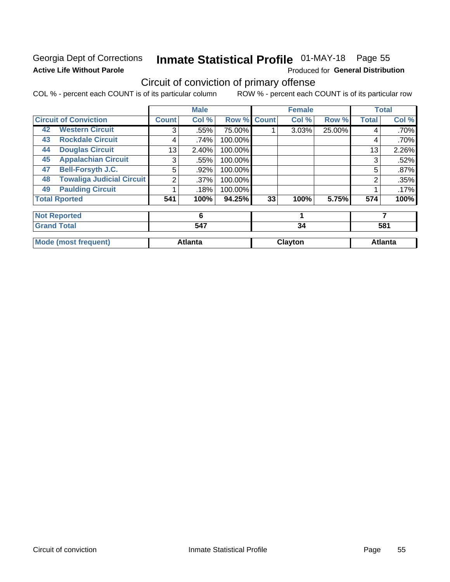## Georgia Dept of Corrections **Active Life Without Parole**

## Inmate Statistical Profile 01-MAY-18 Page 55

Produced for General Distribution

## Circuit of conviction of primary offense

COL % - percent each COUNT is of its particular column ROW % - percent each COUNT is of its particular row

|                                        |              | <b>Male</b>    |         |              | <b>Female</b>  |        |              | <b>Total</b>   |  |
|----------------------------------------|--------------|----------------|---------|--------------|----------------|--------|--------------|----------------|--|
| <b>Circuit of Conviction</b>           | <b>Count</b> | Col %          | Row %   | <b>Count</b> | Col %          | Row %  | <b>Total</b> | Col %          |  |
| <b>Western Circuit</b><br>42           | 3            | .55%           | 75.00%  |              | 3.03%          | 25.00% | 4            | .70%           |  |
| <b>Rockdale Circuit</b><br>43          | 4            | .74%           | 100.00% |              |                |        | 4            | .70%           |  |
| <b>Douglas Circuit</b><br>44           | 13           | 2.40%          | 100.00% |              |                |        | 13           | 2.26%          |  |
| <b>Appalachian Circuit</b><br>45       | 3            | .55%           | 100.00% |              |                |        | 3            | .52%           |  |
| <b>Bell-Forsyth J.C.</b><br>47         | 5            | .92%           | 100.00% |              |                |        | 5            | .87%           |  |
| <b>Towaliga Judicial Circuit</b><br>48 | 2            | $.37\%$        | 100.00% |              |                |        | 2            | .35%           |  |
| <b>Paulding Circuit</b><br>49          |              | .18%           | 100.00% |              |                |        |              | .17%           |  |
| <b>Total Rported</b>                   | 541          | 100%           | 94.25%  | 33           | 100%           | 5.75%  | 574          | 100%           |  |
| <b>Not Reported</b>                    |              | 6              |         |              | 1              |        |              | 7              |  |
| <b>Grand Total</b>                     |              | 547            |         |              | 34             |        |              | 581            |  |
| <b>Mode (most frequent)</b>            |              | <b>Atlanta</b> |         |              | <b>Clayton</b> |        |              | <b>Atlanta</b> |  |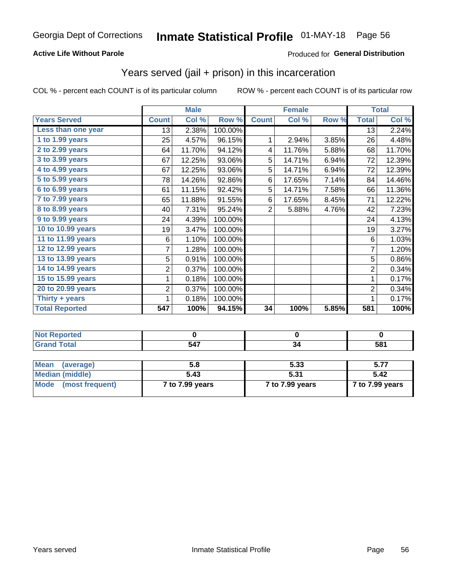## **Active Life Without Parole**

## Produced for General Distribution

## Years served (jail + prison) in this incarceration

COL % - percent each COUNT is of its particular column

|                       |                  | <b>Male</b> |         |                 | <b>Female</b> |       |                | <b>Total</b> |
|-----------------------|------------------|-------------|---------|-----------------|---------------|-------|----------------|--------------|
| <b>Years Served</b>   | <b>Count</b>     | Col %       | Row %   | <b>Count</b>    | Col %         | Row % | <b>Total</b>   | Col %        |
| Less than one year    | 13               | 2.38%       | 100.00% |                 |               |       | 13             | 2.24%        |
| $1$ to 1.99 years     | 25               | 4.57%       | 96.15%  | 1               | 2.94%         | 3.85% | 26             | 4.48%        |
| 2 to 2.99 years       | 64               | 11.70%      | 94.12%  | 4               | 11.76%        | 5.88% | 68             | 11.70%       |
| 3 to 3.99 years       | 67               | 12.25%      | 93.06%  | 5               | 14.71%        | 6.94% | 72             | 12.39%       |
| 4 to 4.99 years       | 67               | 12.25%      | 93.06%  | 5               | 14.71%        | 6.94% | 72             | 12.39%       |
| 5 to 5.99 years       | 78               | 14.26%      | 92.86%  | 6               | 17.65%        | 7.14% | 84             | 14.46%       |
| 6 to 6.99 years       | 61               | 11.15%      | 92.42%  | 5               | 14.71%        | 7.58% | 66             | 11.36%       |
| 7 to 7.99 years       | 65               | 11.88%      | 91.55%  | 6               | 17.65%        | 8.45% | 71             | 12.22%       |
| 8 to 8.99 years       | 40               | 7.31%       | 95.24%  | $\overline{2}$  | 5.88%         | 4.76% | 42             | 7.23%        |
| 9 to 9.99 years       | 24               | 4.39%       | 100.00% |                 |               |       | 24             | 4.13%        |
| 10 to 10.99 years     | 19               | 3.47%       | 100.00% |                 |               |       | 19             | 3.27%        |
| 11 to 11.99 years     | 6                | 1.10%       | 100.00% |                 |               |       | 6              | 1.03%        |
| 12 to 12.99 years     | 7                | 1.28%       | 100.00% |                 |               |       | $\overline{7}$ | 1.20%        |
| 13 to 13.99 years     | 5                | 0.91%       | 100.00% |                 |               |       | 5              | 0.86%        |
| 14 to 14.99 years     | $\overline{c}$   | 0.37%       | 100.00% |                 |               |       | $\overline{2}$ | 0.34%        |
| 15 to 15.99 years     | 1                | 0.18%       | 100.00% |                 |               |       | 1              | 0.17%        |
| 20 to 20.99 years     | $\overline{2}$   | 0.37%       | 100.00% |                 |               |       | $\overline{2}$ | 0.34%        |
| Thirty $+$ years      |                  | 0.18%       | 100.00% |                 |               |       | 1              | 0.17%        |
| <b>Total Reported</b> | $\overline{547}$ | 100%        | 94.15%  | $\overline{34}$ | 100%          | 5.85% | 581            | 100%         |

| $-1 -$<br>. . | $\tau$ o.<br><br>JU |
|---------------|---------------------|

| Mean<br>(average)    | 5.8             | 5.33            | 5.77            |
|----------------------|-----------------|-----------------|-----------------|
| Median (middle)      | 5.43            | 5.31            | 5.42            |
| Mode (most frequent) | 7 to 7.99 years | 7 to 7.99 years | 7 to 7.99 years |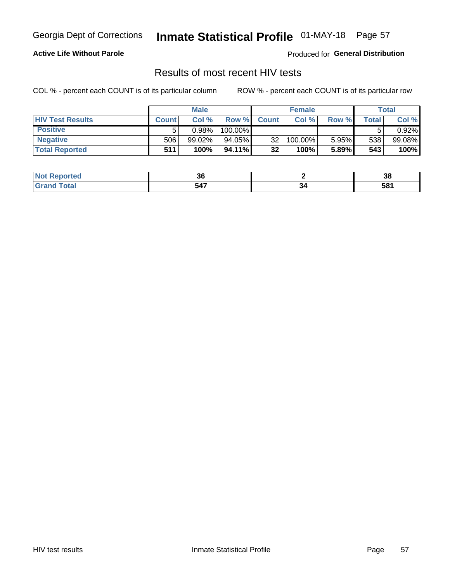## Inmate Statistical Profile 01-MAY-18 Page 57

## **Active Life Without Parole**

Produced for General Distribution

## Results of most recent HIV tests

COL % - percent each COUNT is of its particular column

|                         | <b>Male</b>  |           |         | <b>Female</b>   |         |       | Total   |        |
|-------------------------|--------------|-----------|---------|-----------------|---------|-------|---------|--------|
| <b>HIV Test Results</b> | <b>Count</b> | Col%      | Row %I  | <b>Count</b>    | Col %   | Row % | Total . | Col %  |
| <b>Positive</b>         |              | 0.98%     | 100.00% |                 |         |       |         | 0.92%  |
| <b>Negative</b>         | 506          | $99.02\%$ | 94.05%  | 32 <sub>1</sub> | 100.00% | 5.95% | 538     | 99.08% |
| <b>Total Reported</b>   | 511          | 100%      | 94.11%  | 32 <sub>2</sub> | 100%    | 5.89% | 543     | 100%   |

| : Reported<br>I NOT | ^^<br>ახ                                         |                     | 38  |
|---------------------|--------------------------------------------------|---------------------|-----|
|                     | 547<br>$\sim$ $\sim$ $\sim$ $\sim$ $\sim$ $\sim$ | 34<br>$\sim$ $\sim$ | 581 |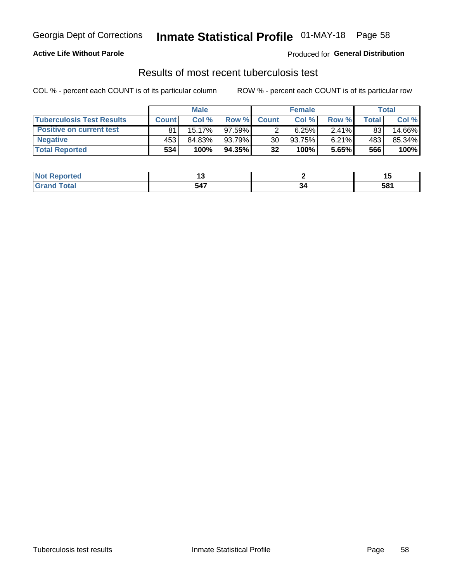## Georgia Dept of Corrections **Inmate Statistical Profile** 01-MAY-18 Page 58

## **Active Life Without Parole**

Produced for **General Distribution**

## Results of most recent tuberculosis test

COL % - percent each COUNT is of its particular column ROW % - percent each COUNT is of its particular row

|                                  | <b>Male</b>  |           |           | <b>Female</b> |        |          | Total |        |
|----------------------------------|--------------|-----------|-----------|---------------|--------|----------|-------|--------|
| <b>Tuberculosis Test Results</b> | <b>Count</b> | Col%      | Row %I    | <b>Count</b>  | Col%   | Row %    | Total | Col %  |
| <b>Positive on current test</b>  | 81           | $15.17\%$ | 97.59%l   |               | 6.25%  | $2.41\%$ | 83    | 14.66% |
| <b>Negative</b>                  | 453          | 84.83%    | 93.79%    | 30            | 93.75% | $6.21\%$ | 483   | 85.34% |
| <b>Total Reported</b>            | 534          | 100%      | $94.35\%$ | 32            | 100%   | 5.65%    | 566   | 100%   |

| <b>Not Reported</b> |                      |    |            |
|---------------------|----------------------|----|------------|
| <b>Fotal</b>        | 547<br>$\sim$ $\sim$ | ., | cο.<br>וסכ |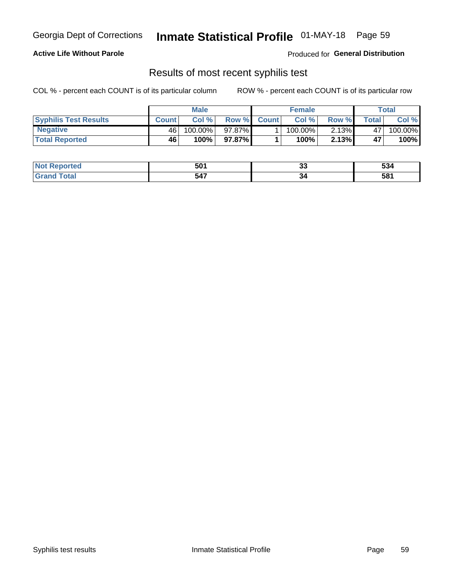## Georgia Dept of Corrections **Inmate Statistical Profile** 01-MAY-18 Page 59

## **Active Life Without Parole**

Produced for **General Distribution**

## Results of most recent syphilis test

COL % - percent each COUNT is of its particular column ROW % - percent each COUNT is of its particular row

|                              | <b>Male</b>  |         |        | <b>Female</b> |         |          | Total        |         |
|------------------------------|--------------|---------|--------|---------------|---------|----------|--------------|---------|
| <b>Syphilis Test Results</b> | <b>Count</b> | Col %   |        | Row % Count   | Col %   | Row %    | <b>Total</b> | Col %   |
| <b>Negative</b>              | 46           | 100.00% | 97.87% |               | 100.00% | $2.13\%$ | 47           | 100.00% |
| <b>Total Reported</b>        | 46           | 100%    | 97.87% |               | $100\%$ | $2.13\%$ | 47           | 100%    |

| د د لات<br>NOT<br>oortea | -n/<br>JL.         | ~~<br>w | -^<br>ಲುಕ |
|--------------------------|--------------------|---------|-----------|
| $. \nabla + \nabla$      | 547<br><u>ו דע</u> | ءد      | 581       |